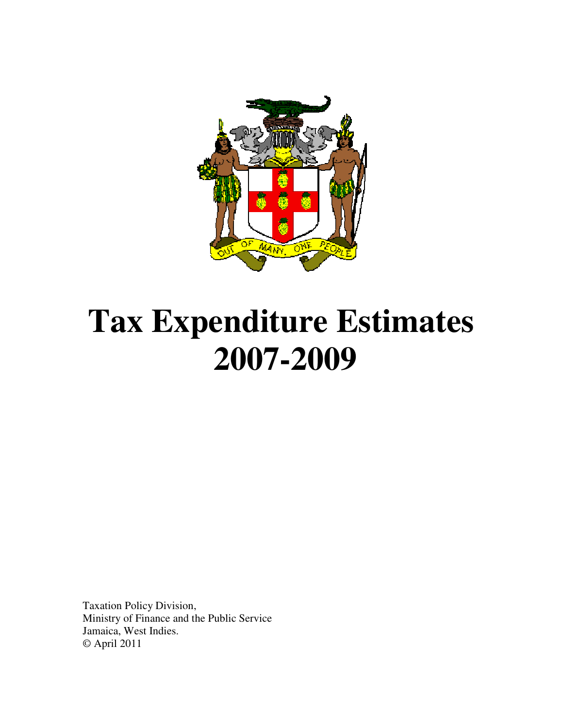

# **Tax Expenditure Estimates 2007-2009**

Taxation Policy Division, Ministry of Finance and the Public Service Jamaica, West Indies. © April 2011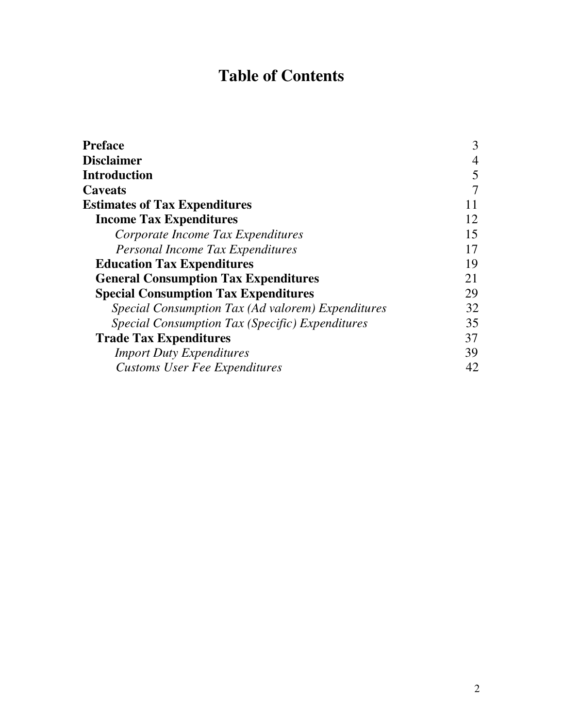# **Table of Contents**

| <b>Preface</b>                                         | 3  |
|--------------------------------------------------------|----|
| <b>Disclaimer</b>                                      | 4  |
| Introduction                                           | 5  |
| <b>Caveats</b>                                         |    |
| <b>Estimates of Tax Expenditures</b>                   | 11 |
| <b>Income Tax Expenditures</b>                         | 12 |
| Corporate Income Tax Expenditures                      | 15 |
| Personal Income Tax Expenditures                       | 17 |
| <b>Education Tax Expenditures</b>                      | 19 |
| <b>General Consumption Tax Expenditures</b>            | 21 |
| <b>Special Consumption Tax Expenditures</b>            | 29 |
| Special Consumption Tax (Ad valorem) Expenditures      | 32 |
| <i>Special Consumption Tax (Specific) Expenditures</i> | 35 |
| <b>Trade Tax Expenditures</b>                          | 37 |
| <b>Import Duty Expenditures</b>                        | 39 |
| <b>Customs User Fee Expenditures</b>                   | 42 |
|                                                        |    |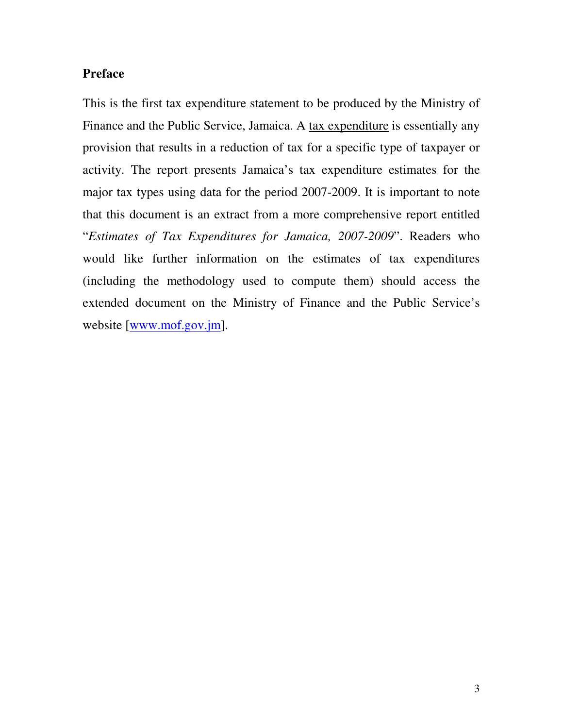# **Preface**

This is the first tax expenditure statement to be produced by the Ministry of Finance and the Public Service, Jamaica. A tax expenditure is essentially any provision that results in a reduction of tax for a specific type of taxpayer or activity. The report presents Jamaica's tax expenditure estimates for the major tax types using data for the period 2007-2009. It is important to note that this document is an extract from a more comprehensive report entitled "*Estimates of Tax Expenditures for Jamaica, 2007-2009*". Readers who would like further information on the estimates of tax expenditures (including the methodology used to compute them) should access the extended document on the Ministry of Finance and the Public Service's website [www.mof.gov.jm].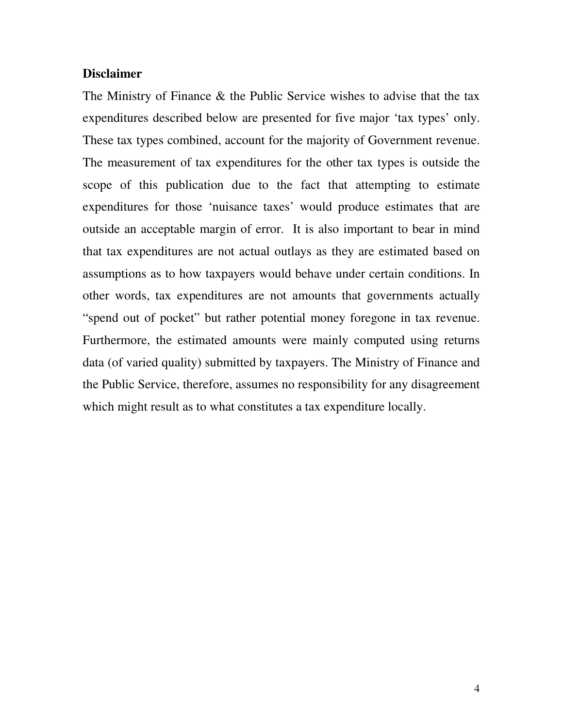# **Disclaimer**

The Ministry of Finance & the Public Service wishes to advise that the tax expenditures described below are presented for five major 'tax types' only. These tax types combined, account for the majority of Government revenue. The measurement of tax expenditures for the other tax types is outside the scope of this publication due to the fact that attempting to estimate expenditures for those 'nuisance taxes' would produce estimates that are outside an acceptable margin of error. It is also important to bear in mind that tax expenditures are not actual outlays as they are estimated based on assumptions as to how taxpayers would behave under certain conditions. In other words, tax expenditures are not amounts that governments actually "spend out of pocket" but rather potential money foregone in tax revenue. Furthermore, the estimated amounts were mainly computed using returns data (of varied quality) submitted by taxpayers. The Ministry of Finance and the Public Service, therefore, assumes no responsibility for any disagreement which might result as to what constitutes a tax expenditure locally.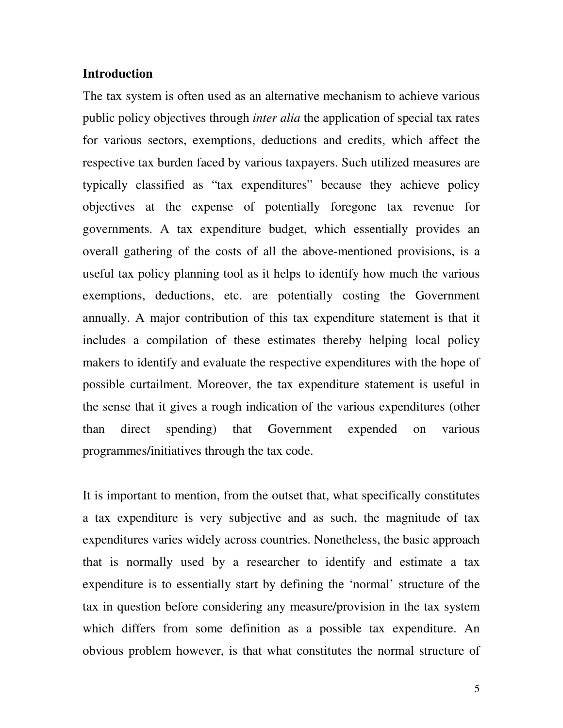# **Introduction**

The tax system is often used as an alternative mechanism to achieve various public policy objectives through *inter alia* the application of special tax rates for various sectors, exemptions, deductions and credits, which affect the respective tax burden faced by various taxpayers. Such utilized measures are typically classified as "tax expenditures" because they achieve policy objectives at the expense of potentially foregone tax revenue for governments. A tax expenditure budget, which essentially provides an overall gathering of the costs of all the above-mentioned provisions, is a useful tax policy planning tool as it helps to identify how much the various exemptions, deductions, etc. are potentially costing the Government annually. A major contribution of this tax expenditure statement is that it includes a compilation of these estimates thereby helping local policy makers to identify and evaluate the respective expenditures with the hope of possible curtailment. Moreover, the tax expenditure statement is useful in the sense that it gives a rough indication of the various expenditures (other than direct spending) that Government expended on various programmes/initiatives through the tax code.

It is important to mention, from the outset that, what specifically constitutes a tax expenditure is very subjective and as such, the magnitude of tax expenditures varies widely across countries. Nonetheless, the basic approach that is normally used by a researcher to identify and estimate a tax expenditure is to essentially start by defining the 'normal' structure of the tax in question before considering any measure/provision in the tax system which differs from some definition as a possible tax expenditure. An obvious problem however, is that what constitutes the normal structure of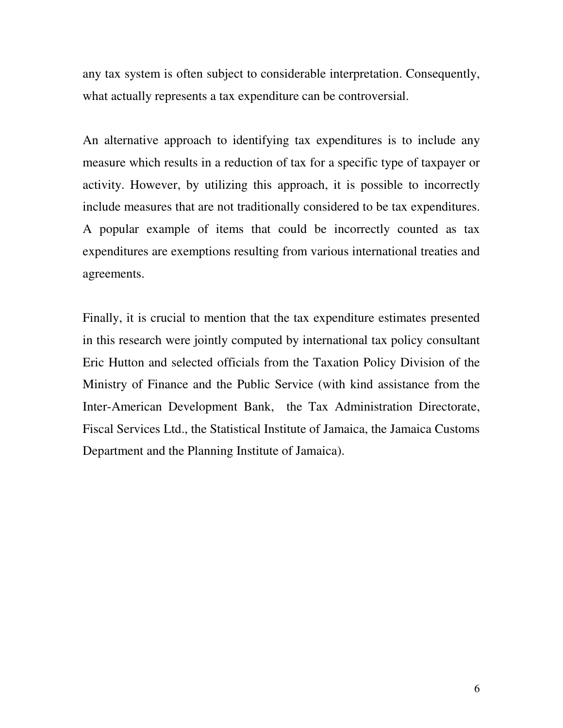any tax system is often subject to considerable interpretation. Consequently, what actually represents a tax expenditure can be controversial.

An alternative approach to identifying tax expenditures is to include any measure which results in a reduction of tax for a specific type of taxpayer or activity. However, by utilizing this approach, it is possible to incorrectly include measures that are not traditionally considered to be tax expenditures. A popular example of items that could be incorrectly counted as tax expenditures are exemptions resulting from various international treaties and agreements.

Finally, it is crucial to mention that the tax expenditure estimates presented in this research were jointly computed by international tax policy consultant Eric Hutton and selected officials from the Taxation Policy Division of the Ministry of Finance and the Public Service (with kind assistance from the Inter-American Development Bank, the Tax Administration Directorate, Fiscal Services Ltd., the Statistical Institute of Jamaica, the Jamaica Customs Department and the Planning Institute of Jamaica).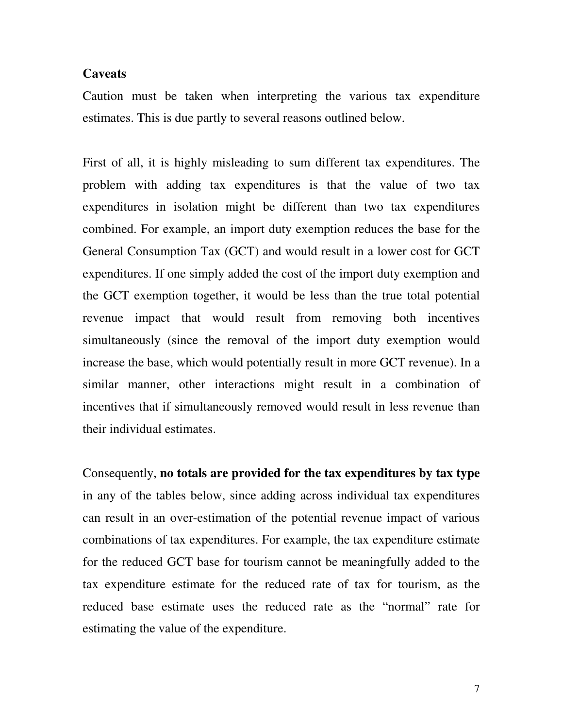## **Caveats**

Caution must be taken when interpreting the various tax expenditure estimates. This is due partly to several reasons outlined below.

First of all, it is highly misleading to sum different tax expenditures. The problem with adding tax expenditures is that the value of two tax expenditures in isolation might be different than two tax expenditures combined. For example, an import duty exemption reduces the base for the General Consumption Tax (GCT) and would result in a lower cost for GCT expenditures. If one simply added the cost of the import duty exemption and the GCT exemption together, it would be less than the true total potential revenue impact that would result from removing both incentives simultaneously (since the removal of the import duty exemption would increase the base, which would potentially result in more GCT revenue). In a similar manner, other interactions might result in a combination of incentives that if simultaneously removed would result in less revenue than their individual estimates.

Consequently, **no totals are provided for the tax expenditures by tax type** in any of the tables below, since adding across individual tax expenditures can result in an over-estimation of the potential revenue impact of various combinations of tax expenditures. For example, the tax expenditure estimate for the reduced GCT base for tourism cannot be meaningfully added to the tax expenditure estimate for the reduced rate of tax for tourism, as the reduced base estimate uses the reduced rate as the "normal" rate for estimating the value of the expenditure.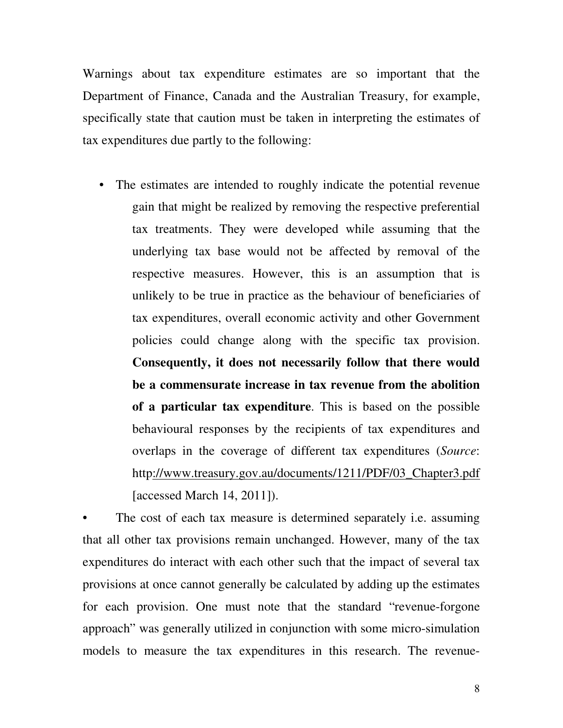Warnings about tax expenditure estimates are so important that the Department of Finance, Canada and the Australian Treasury, for example, specifically state that caution must be taken in interpreting the estimates of tax expenditures due partly to the following:

• The estimates are intended to roughly indicate the potential revenue gain that might be realized by removing the respective preferential tax treatments. They were developed while assuming that the underlying tax base would not be affected by removal of the respective measures. However, this is an assumption that is unlikely to be true in practice as the behaviour of beneficiaries of tax expenditures, overall economic activity and other Government policies could change along with the specific tax provision. **Consequently, it does not necessarily follow that there would be a commensurate increase in tax revenue from the abolition of a particular tax expenditure**. This is based on the possible behavioural responses by the recipients of tax expenditures and overlaps in the coverage of different tax expenditures (*Source*: http://www.treasury.gov.au/documents/1211/PDF/03\_Chapter3.pdf [accessed March 14, 2011]).

The cost of each tax measure is determined separately *i.e.* assuming that all other tax provisions remain unchanged. However, many of the tax expenditures do interact with each other such that the impact of several tax provisions at once cannot generally be calculated by adding up the estimates for each provision. One must note that the standard "revenue-forgone approach" was generally utilized in conjunction with some micro-simulation models to measure the tax expenditures in this research. The revenue-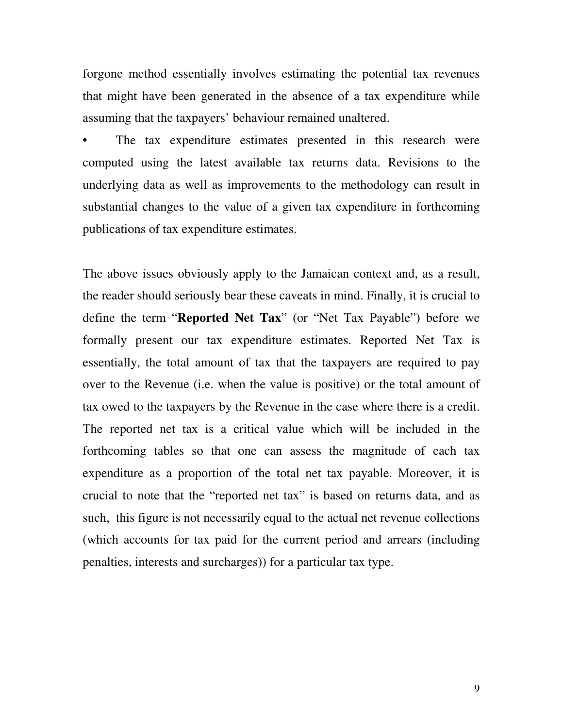forgone method essentially involves estimating the potential tax revenues that might have been generated in the absence of a tax expenditure while assuming that the taxpayers' behaviour remained unaltered.

The tax expenditure estimates presented in this research were computed using the latest available tax returns data. Revisions to the underlying data as well as improvements to the methodology can result in substantial changes to the value of a given tax expenditure in forthcoming publications of tax expenditure estimates.

The above issues obviously apply to the Jamaican context and, as a result, the reader should seriously bear these caveats in mind. Finally, it is crucial to define the term "**Reported Net Tax**" (or "Net Tax Payable") before we formally present our tax expenditure estimates. Reported Net Tax is essentially, the total amount of tax that the taxpayers are required to pay over to the Revenue (i.e. when the value is positive) or the total amount of tax owed to the taxpayers by the Revenue in the case where there is a credit. The reported net tax is a critical value which will be included in the forthcoming tables so that one can assess the magnitude of each tax expenditure as a proportion of the total net tax payable. Moreover, it is crucial to note that the "reported net tax" is based on returns data, and as such, this figure is not necessarily equal to the actual net revenue collections (which accounts for tax paid for the current period and arrears (including penalties, interests and surcharges)) for a particular tax type.

9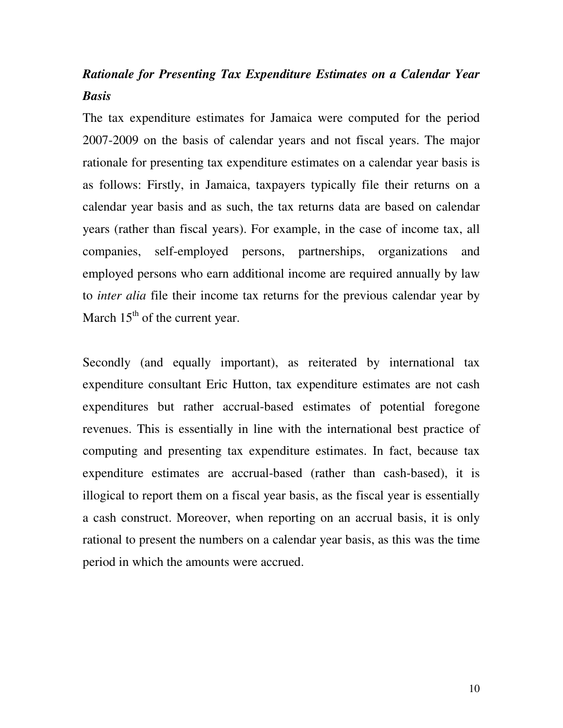# *Rationale for Presenting Tax Expenditure Estimates on a Calendar Year Basis*

The tax expenditure estimates for Jamaica were computed for the period 2007-2009 on the basis of calendar years and not fiscal years. The major rationale for presenting tax expenditure estimates on a calendar year basis is as follows: Firstly, in Jamaica, taxpayers typically file their returns on a calendar year basis and as such, the tax returns data are based on calendar years (rather than fiscal years). For example, in the case of income tax, all companies, self-employed persons, partnerships, organizations and employed persons who earn additional income are required annually by law to *inter alia* file their income tax returns for the previous calendar year by March  $15<sup>th</sup>$  of the current year.

Secondly (and equally important), as reiterated by international tax expenditure consultant Eric Hutton, tax expenditure estimates are not cash expenditures but rather accrual-based estimates of potential foregone revenues. This is essentially in line with the international best practice of computing and presenting tax expenditure estimates. In fact, because tax expenditure estimates are accrual-based (rather than cash-based), it is illogical to report them on a fiscal year basis, as the fiscal year is essentially a cash construct. Moreover, when reporting on an accrual basis, it is only rational to present the numbers on a calendar year basis, as this was the time period in which the amounts were accrued.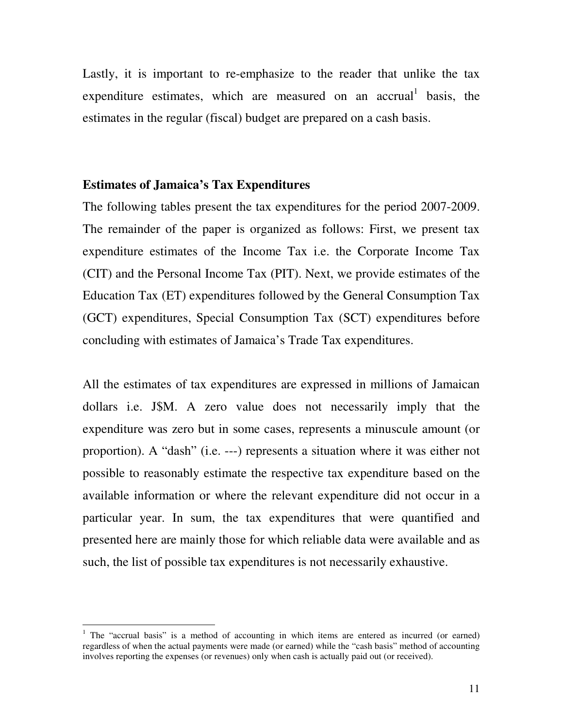Lastly, it is important to re-emphasize to the reader that unlike the tax expenditure estimates, which are measured on an accrual basis, the estimates in the regular (fiscal) budget are prepared on a cash basis.

# **Estimates of Jamaica's Tax Expenditures**

 $\overline{a}$ 

The following tables present the tax expenditures for the period 2007-2009. The remainder of the paper is organized as follows: First, we present tax expenditure estimates of the Income Tax i.e. the Corporate Income Tax (CIT) and the Personal Income Tax (PIT). Next, we provide estimates of the Education Tax (ET) expenditures followed by the General Consumption Tax (GCT) expenditures, Special Consumption Tax (SCT) expenditures before concluding with estimates of Jamaica's Trade Tax expenditures.

All the estimates of tax expenditures are expressed in millions of Jamaican dollars i.e. J\$M. A zero value does not necessarily imply that the expenditure was zero but in some cases, represents a minuscule amount (or proportion). A "dash" (i.e. ---) represents a situation where it was either not possible to reasonably estimate the respective tax expenditure based on the available information or where the relevant expenditure did not occur in a particular year. In sum, the tax expenditures that were quantified and presented here are mainly those for which reliable data were available and as such, the list of possible tax expenditures is not necessarily exhaustive.

<sup>&</sup>lt;sup>1</sup> The "accrual basis" is a method of accounting in which items are entered as incurred (or earned) regardless of when the actual payments were made (or earned) while the "cash basis" method of accounting involves reporting the expenses (or revenues) only when cash is actually paid out (or received).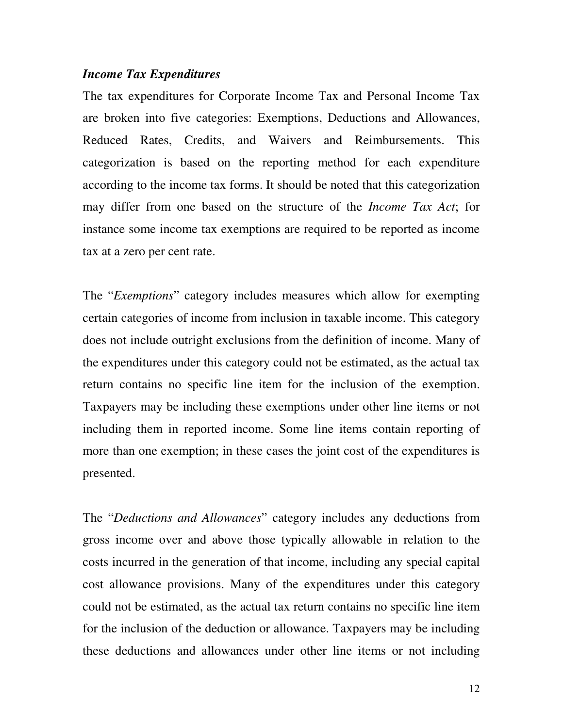# *Income Tax Expenditures*

The tax expenditures for Corporate Income Tax and Personal Income Tax are broken into five categories: Exemptions, Deductions and Allowances, Reduced Rates, Credits, and Waivers and Reimbursements. This categorization is based on the reporting method for each expenditure according to the income tax forms. It should be noted that this categorization may differ from one based on the structure of the *Income Tax Act*; for instance some income tax exemptions are required to be reported as income tax at a zero per cent rate.

The "*Exemptions*" category includes measures which allow for exempting certain categories of income from inclusion in taxable income. This category does not include outright exclusions from the definition of income. Many of the expenditures under this category could not be estimated, as the actual tax return contains no specific line item for the inclusion of the exemption. Taxpayers may be including these exemptions under other line items or not including them in reported income. Some line items contain reporting of more than one exemption; in these cases the joint cost of the expenditures is presented.

The "*Deductions and Allowances*" category includes any deductions from gross income over and above those typically allowable in relation to the costs incurred in the generation of that income, including any special capital cost allowance provisions. Many of the expenditures under this category could not be estimated, as the actual tax return contains no specific line item for the inclusion of the deduction or allowance. Taxpayers may be including these deductions and allowances under other line items or not including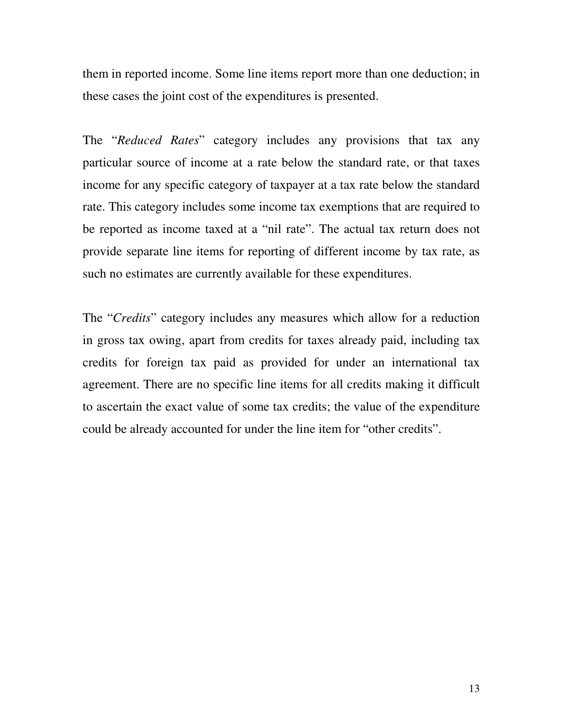them in reported income. Some line items report more than one deduction; in these cases the joint cost of the expenditures is presented.

The "*Reduced Rates*" category includes any provisions that tax any particular source of income at a rate below the standard rate, or that taxes income for any specific category of taxpayer at a tax rate below the standard rate. This category includes some income tax exemptions that are required to be reported as income taxed at a "nil rate". The actual tax return does not provide separate line items for reporting of different income by tax rate, as such no estimates are currently available for these expenditures.

The "*Credits*" category includes any measures which allow for a reduction in gross tax owing, apart from credits for taxes already paid, including tax credits for foreign tax paid as provided for under an international tax agreement. There are no specific line items for all credits making it difficult to ascertain the exact value of some tax credits; the value of the expenditure could be already accounted for under the line item for "other credits".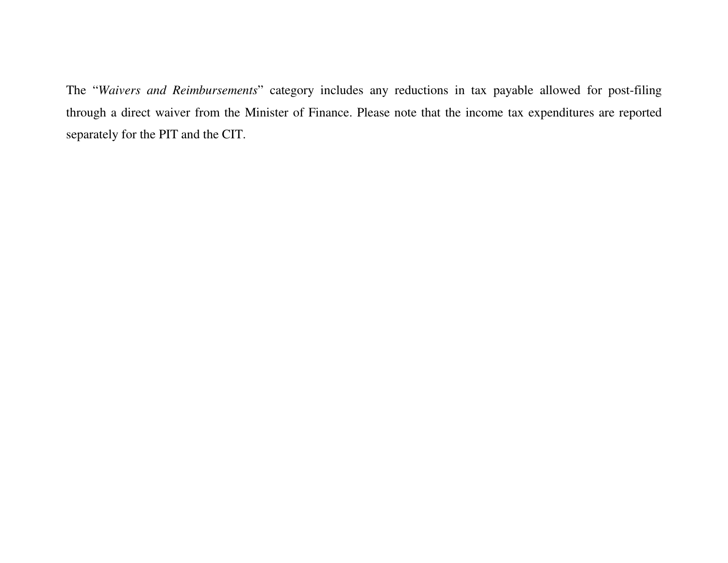The "*Waivers and Reimbursements*" category includes any reductions in tax payable allowed for post-filing through a direct waiver from the Minister of Finance. Please note that the income tax expenditures are reported separately for the PIT and the CIT.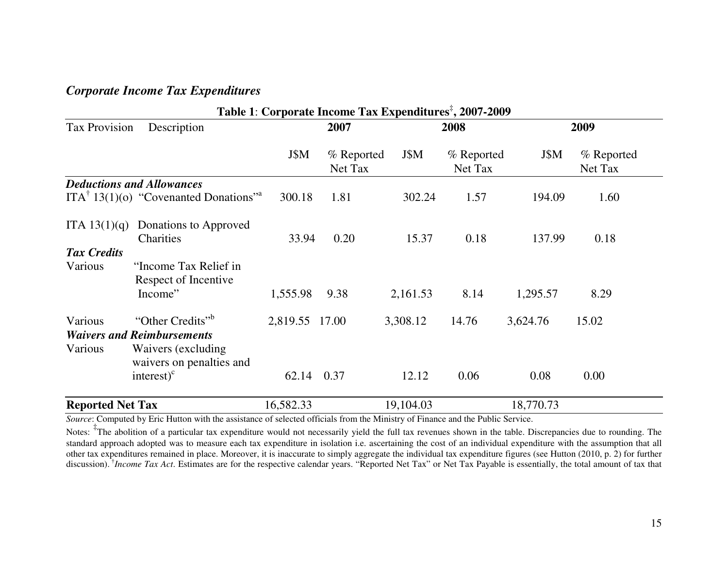# *Corporate Income Tax Expenditures*

|                               | Table 1: Corporate Income Tax Expenditures <sup>#</sup> , 2007-2009                                                                              |                         |                       |                   |                       |                  |                       |  |  |  |  |  |  |
|-------------------------------|--------------------------------------------------------------------------------------------------------------------------------------------------|-------------------------|-----------------------|-------------------|-----------------------|------------------|-----------------------|--|--|--|--|--|--|
| <b>Tax Provision</b>          | Description                                                                                                                                      |                         | 2007                  |                   | 2008                  |                  | 2009                  |  |  |  |  |  |  |
|                               |                                                                                                                                                  | J\$M                    | % Reported<br>Net Tax | J\$M              | % Reported<br>Net Tax | J\$M             | % Reported<br>Net Tax |  |  |  |  |  |  |
|                               | <b>Deductions and Allowances</b>                                                                                                                 |                         |                       |                   |                       |                  |                       |  |  |  |  |  |  |
|                               | $ITA^{\dagger} 13(1)(o)$ "Covenanted Donations" <sup>a</sup>                                                                                     | 300.18                  | 1.81                  | 302.24            | 1.57                  | 194.09           | 1.60                  |  |  |  |  |  |  |
| ITA $13(1)(q)$                | Donations to Approved<br>Charities                                                                                                               | 33.94                   | 0.20                  | 15.37             | 0.18                  | 137.99           | 0.18                  |  |  |  |  |  |  |
| <b>Tax Credits</b><br>Various | "Income Tax Relief in<br>Respect of Incentive<br>Income"                                                                                         | 1,555.98                | 9.38                  | 2,161.53          | 8.14                  | 1,295.57         | 8.29                  |  |  |  |  |  |  |
| Various<br>Various            | "Other Credits" <sup>b</sup><br><b>Waivers and Reimbursements</b><br>Waivers (excluding)<br>waivers on penalties and<br>$interest)$ <sup>c</sup> | 2,819.55 17.00<br>62.14 | 0.37                  | 3,308.12<br>12.12 | 14.76<br>0.06         | 3,624.76<br>0.08 | 15.02<br>0.00         |  |  |  |  |  |  |
| <b>Reported Net Tax</b>       |                                                                                                                                                  | 16,582.33               |                       | 19,104.03         |                       | 18,770.73        |                       |  |  |  |  |  |  |

*Source*: Computed by Eric Hutton with the assistance of selected officials from the Ministry of Finance and the Public Service.

Notes: <sup>‡</sup>The abolition of a particular tax expenditure would not necessarily yield the full tax revenues shown in the table. Discrepancies due to rounding. The standard approach adopted was to measure each tax expenditure in isolation i.e. ascertaining the cost of an individual expenditure with the assumption that all other tax expenditures remained in place. Moreover, it is inaccurate to simply aggregate the individual tax expenditure figures (see Hutton (2010, p. 2) for further discussion). †*Income Tax Act*. Estimates are for the respective calendar years. "Reported Net Tax" or Net Tax Payable is essentially, the total amount of tax that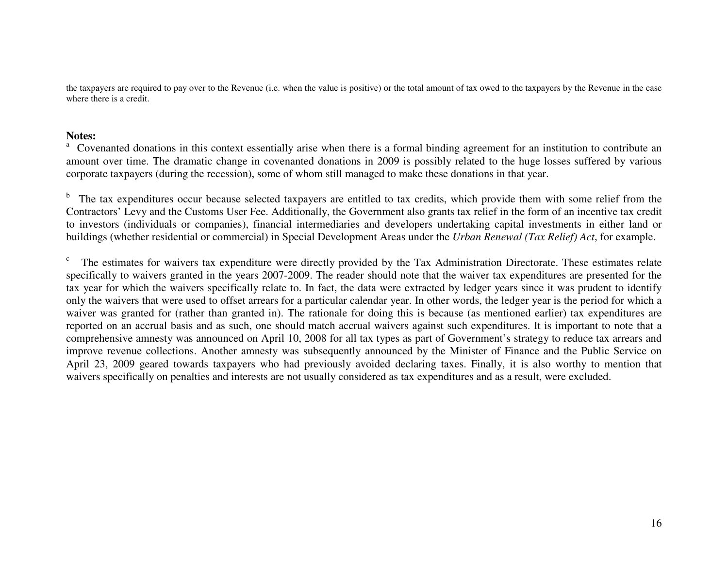the taxpayers are required to pay over to the Revenue (i.e. when the value is positive) or the total amount of tax owed to the taxpayers by the Revenue in the case where there is a credit.

#### **Notes:**

<sup>a</sup> Covenanted donations in this context essentially arise when there is a formal binding agreement for an institution to contribute an amount over time. The dramatic change in covenanted donations in 2009 is possibly related to the huge losses suffered by various corporate taxpayers (during the recession), some of whom still managed to make these donations in that year.

<sup>b</sup> The tax expenditures occur because selected taxpayers are entitled to tax credits, which provide them with some relief from the Contractors' Levy and the Customs User Fee. Additionally, the Government also grants tax relief in the form of an incentive tax credit to investors (individuals or companies), financial intermediaries and developers undertaking capital investments in either land or buildings (whether residential or commercial) in Special Development Areas under the *Urban Renewal (Tax Relief) Act*, for example.

 $\epsilon$ . The estimates for waivers tax expenditure were directly provided by the Tax Administration Directorate. These estimates relate specifically to waivers granted in the years 2007-2009. The reader should note that the waiver tax expenditures are presented for the tax year for which the waivers specifically relate to. In fact, the data were extracted by ledger years since it was prudent to identify only the waivers that were used to offset arrears for a particular calendar year. In other words, the ledger year is the period for which a waiver was granted for (rather than granted in). The rationale for doing this is because (as mentioned earlier) tax expenditures are reported on an accrual basis and as such, one should match accrual waivers against such expenditures. It is important to note that a comprehensive amnesty was announced on April 10, 2008 for all tax types as part of Government's strategy to reduce tax arrears and improve revenue collections. Another amnesty was subsequently announced by the Minister of Finance and the Public Service on April 23, 2009 geared towards taxpayers who had previously avoided declaring taxes. Finally, it is also worthy to mention that waivers specifically on penalties and interests are not usually considered as tax expenditures and as a result, were excluded.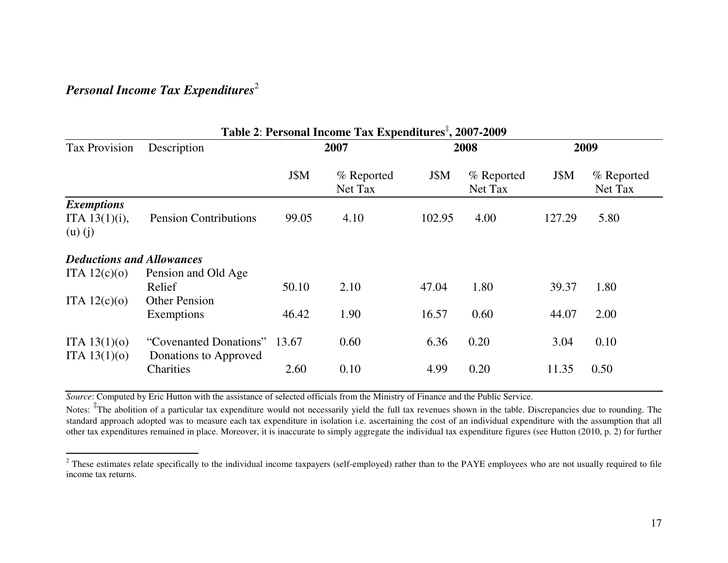# *Personal Income Tax Expenditures*<sup>2</sup>

|                                                      | Table 2: Personal Income Tax Expenditures <sup>#</sup> , 2007-2009 |       |                       |        |                       |        |                       |  |  |  |  |
|------------------------------------------------------|--------------------------------------------------------------------|-------|-----------------------|--------|-----------------------|--------|-----------------------|--|--|--|--|
| <b>Tax Provision</b>                                 | Description                                                        | 2007  |                       |        | 2008                  |        | 2009                  |  |  |  |  |
|                                                      |                                                                    | J\$M  | % Reported<br>Net Tax | J\$M   | % Reported<br>Net Tax | J\$M   | % Reported<br>Net Tax |  |  |  |  |
| <b>Exemptions</b><br>ITA $13(1)(i)$ ,<br>$(u)$ $(j)$ | <b>Pension Contributions</b>                                       | 99.05 | 4.10                  | 102.95 | 4.00                  | 127.29 | 5.80                  |  |  |  |  |
| <b>Deductions and Allowances</b>                     |                                                                    |       |                       |        |                       |        |                       |  |  |  |  |
| ITA $12(c)(o)$                                       | Pension and Old Age<br>Relief                                      | 50.10 | 2.10                  | 47.04  | 1.80                  | 39.37  | 1.80                  |  |  |  |  |
| ITA $12(c)(o)$                                       | <b>Other Pension</b><br>Exemptions                                 | 46.42 | 1.90                  | 16.57  | 0.60                  | 44.07  | 2.00                  |  |  |  |  |
| ITA $13(1)(0)$<br>ITA $13(1)(0)$                     | "Covenanted Donations"<br>Donations to Approved                    | 13.67 | 0.60                  | 6.36   | 0.20                  | 3.04   | 0.10                  |  |  |  |  |
|                                                      | Charities                                                          | 2.60  | 0.10                  | 4.99   | 0.20                  | 11.35  | 0.50                  |  |  |  |  |

*Source*: Computed by Eric Hutton with the assistance of selected officials from the Ministry of Finance and the Public Service.

Notes: <sup>‡</sup>The abolition of a particular tax expenditure would not necessarily yield the full tax revenues shown in the table. Discrepancies due to rounding. The standard approach adopted was to measure each tax expenditure in isolation i.e. ascertaining the cost of an individual expenditure with the assumption that all other tax expenditures remained in place. Moreover, it is inaccurate to simply aggregate the individual tax expenditure figures (see Hutton (2010, p. 2) for further

<sup>&</sup>lt;sup>2</sup> These estimates relate specifically to the individual income taxpayers (self-employed) rather than to the PAYE employees who are not usually required to file income tax returns.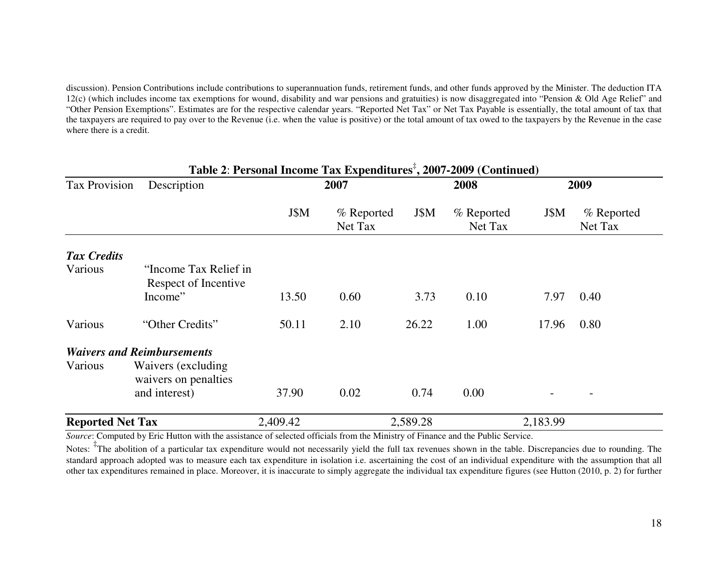discussion). Pension Contributions include contributions to superannuation funds, retirement funds, and other funds approved by the Minister. The deduction ITA 12(c) (which includes income tax exemptions for wound, disability and war pensions and gratuities) is now disaggregated into "Pension & Old Age Relief" and "Other Pension Exemptions". Estimates are for the respective calendar years. "Reported Net Tax" or Net Tax Payable is essentially, the total amount of tax that the taxpayers are required to pay over to the Revenue (i.e. when the value is positive) or the total amount of tax owed to the taxpayers by the Revenue in the case where there is a credit.

|                         |                                               |          | Table 2: Personal Income Tax Expenditures <sup>‡</sup> , 2007-2009 (Continued) |          |                       |          |                       |
|-------------------------|-----------------------------------------------|----------|--------------------------------------------------------------------------------|----------|-----------------------|----------|-----------------------|
| <b>Tax Provision</b>    | Description                                   |          | 2007                                                                           |          | 2008                  |          | 2009                  |
|                         |                                               | J\$M     | % Reported<br>Net Tax                                                          | J\$M     | % Reported<br>Net Tax | J\$M     | % Reported<br>Net Tax |
| <b>Tax Credits</b>      |                                               |          |                                                                                |          |                       |          |                       |
| Various                 | "Income Tax Relief in<br>Respect of Incentive |          |                                                                                |          |                       |          |                       |
|                         | Income"                                       | 13.50    | 0.60                                                                           | 3.73     | 0.10                  | 7.97     | 0.40                  |
| Various                 | "Other Credits"                               | 50.11    | 2.10                                                                           | 26.22    | 1.00                  | 17.96    | 0.80                  |
|                         | <b>Waivers and Reimbursements</b>             |          |                                                                                |          |                       |          |                       |
| Various                 | Waivers (excluding)<br>waivers on penalties   |          |                                                                                |          |                       |          |                       |
|                         | and interest)                                 | 37.90    | 0.02                                                                           | 0.74     | 0.00                  |          |                       |
| <b>Reported Net Tax</b> |                                               | 2,409.42 |                                                                                | 2,589.28 |                       | 2,183.99 |                       |

*Source*: Computed by Eric Hutton with the assistance of selected officials from the Ministry of Finance and the Public Service.

Notes: <sup>‡</sup>The abolition of a particular tax expenditure would not necessarily yield the full tax revenues shown in the table. Discrepancies due to rounding. The standard approach adopted was to measure each tax expenditure in isolation i.e. ascertaining the cost of an individual expenditure with the assumption that all other tax expenditures remained in place. Moreover, it is inaccurate to simply aggregate the individual tax expenditure figures (see Hutton (2010, p. 2) for further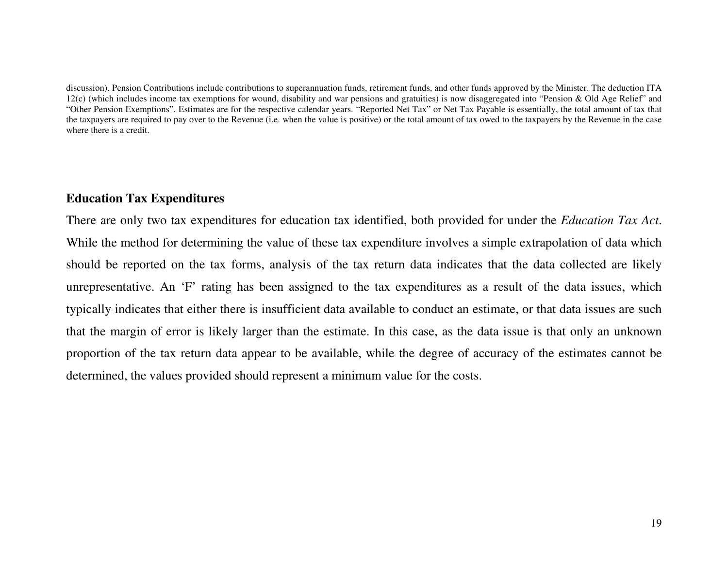discussion). Pension Contributions include contributions to superannuation funds, retirement funds, and other funds approved by the Minister. The deduction ITA 12(c) (which includes income tax exemptions for wound, disability and war pensions and gratuities) is now disaggregated into "Pension & Old Age Relief" and "Other Pension Exemptions". Estimates are for the respective calendar years. "Reported Net Tax" or Net Tax Payable is essentially, the total amount of tax that the taxpayers are required to pay over to the Revenue (i.e. when the value is positive) or the total amount of tax owed to the taxpayers by the Revenue in the case where there is a credit.

# **Education Tax Expenditures**

There are only two tax expenditures for education tax identified, both provided for under the *Education Tax Act*. While the method for determining the value of these tax expenditure involves a simple extrapolation of data which should be reported on the tax forms, analysis of the tax return data indicates that the data collected are likely unrepresentative. An 'F' rating has been assigned to the tax expenditures as a result of the data issues, which typically indicates that either there is insufficient data available to conduct an estimate, or that data issues are such that the margin of error is likely larger than the estimate. In this case, as the data issue is that only an unknown proportion of the tax return data appear to be available, while the degree of accuracy of the estimates cannot be determined, the values provided should represent a minimum value for the costs.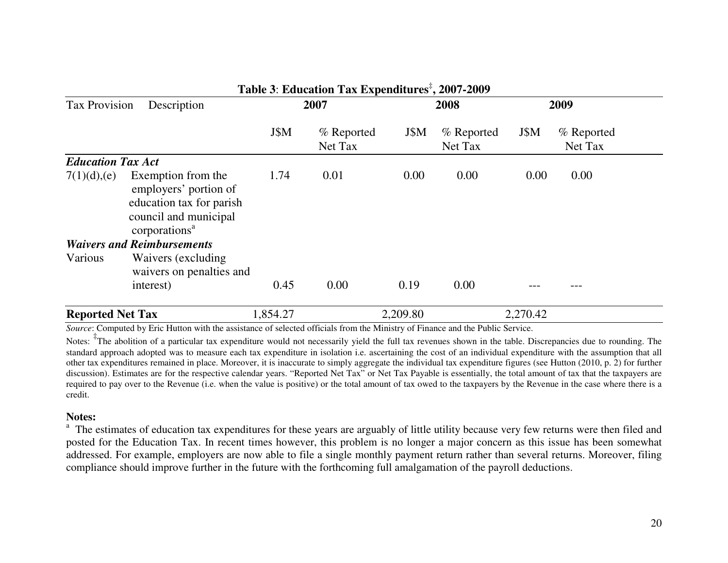|                          |                                                                                                                               |          | Table 5: Education Tax Expenditures , 2007-2009 |          |                       |          |                       |  |
|--------------------------|-------------------------------------------------------------------------------------------------------------------------------|----------|-------------------------------------------------|----------|-----------------------|----------|-----------------------|--|
| <b>Tax Provision</b>     | Description                                                                                                                   | 2007     |                                                 |          | 2008                  |          | 2009                  |  |
|                          |                                                                                                                               | J\$M     | % Reported<br>Net Tax                           | J\$M     | % Reported<br>Net Tax | J\$M     | % Reported<br>Net Tax |  |
| <b>Education Tax Act</b> |                                                                                                                               |          |                                                 |          |                       |          |                       |  |
| 7(1)(d),(e)              | Exemption from the<br>employers' portion of<br>education tax for parish<br>council and municipal<br>corporations <sup>a</sup> | 1.74     | 0.01                                            | 0.00     | 0.00                  | 0.00     | 0.00                  |  |
|                          | <b>Waivers and Reimbursements</b>                                                                                             |          |                                                 |          |                       |          |                       |  |
| Various                  | Waivers (excluding)<br>waivers on penalties and<br>interest)                                                                  | 0.45     | 0.00                                            | 0.19     | 0.00                  |          |                       |  |
| <b>Reported Net Tax</b>  |                                                                                                                               | 1,854.27 |                                                 | 2,209.80 |                       | 2,270.42 |                       |  |

#### **Table 3**: **EducationTax Expenditures**‡**, 2007-2009**

*Source*: Computed by Eric Hutton with the assistance of selected officials from the Ministry of Finance and the Public Service.

Notes: <sup>‡</sup>The abolition of a particular tax expenditure would not necessarily yield the full tax revenues shown in the table. Discrepancies due to rounding. The standard approach adopted was to measure each tax expenditure in isolation i.e. ascertaining the cost of an individual expenditure with the assumption that all other tax expenditures remained in place. Moreover, it is inaccurate to simply aggregate the individual tax expenditure figures (see Hutton (2010, p. 2) for further discussion). Estimates are for the respective calendar years. "Reported Net Tax" or Net Tax Payable is essentially, the total amount of tax that the taxpayers are required to pay over to the Revenue (i.e. when the value is positive) or the total amount of tax owed to the taxpayers by the Revenue in the case where there is a credit.

#### **Notes:**

<sup>a</sup> The estimates of education tax expenditures for these years are arguably of little utility because very few returns were then filed and posted for the Education Tax. In recent times however, this problem is no longer a major concern as this issue has been somewhat addressed. For example, employers are now able to file a single monthly payment return rather than several returns. Moreover, filing compliance should improve further in the future with the forthcoming full amalgamation of the payroll deductions.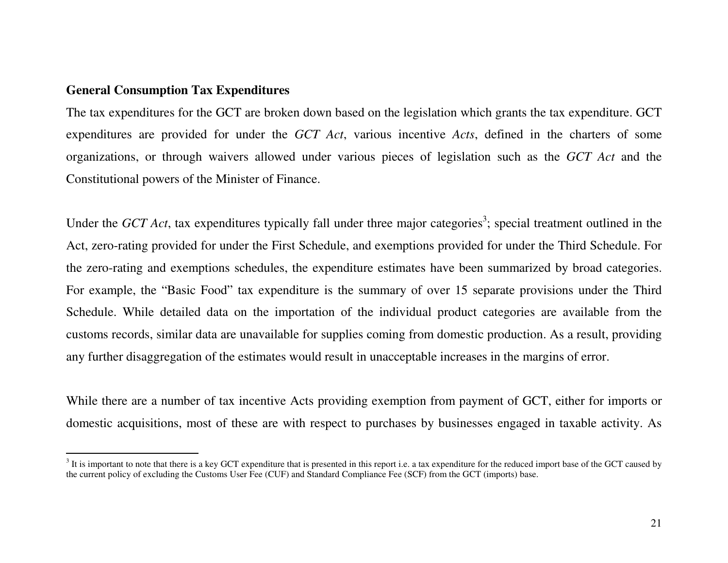# **General Consumption Tax Expenditures**

The tax expenditures for the GCT are broken down based on the legislation which grants the tax expenditure. GCT expenditures are provided for under the *GCT Act*, various incentive *Acts*, defined in the charters of some organizations, or through waivers allowed under various pieces of legislation such as the *GCT Act* and the Constitutional powers of the Minister of Finance.

Under the *GCT Act*, tax expenditures typically fall under three major categories<sup>3</sup>; special treatment outlined in the Act, zero-rating provided for under the First Schedule, and exemptions provided for under the Third Schedule. For the zero-rating and exemptions schedules, the expenditure estimates have been summarized by broad categories. For example, the "Basic Food" tax expenditure is the summary of over 15 separate provisions under the Third Schedule. While detailed data on the importation of the individual product categories are available from the customs records, similar data are unavailable for supplies coming from domestic production. As a result, providing any further disaggregation of the estimates would result in unacceptable increases in the margins of error.

While there are a number of tax incentive Acts providing exemption from payment of GCT, either for imports or domestic acquisitions, most of these are with respect to purchases by businesses engaged in taxable activity. As

 $3$  It is important to note that there is a key GCT expenditure that is presented in this report i.e. a tax expenditure for the reduced import base of the GCT caused by the current policy of excluding the Customs User Fee (CUF) and Standard Compliance Fee (SCF) from the GCT (imports) base.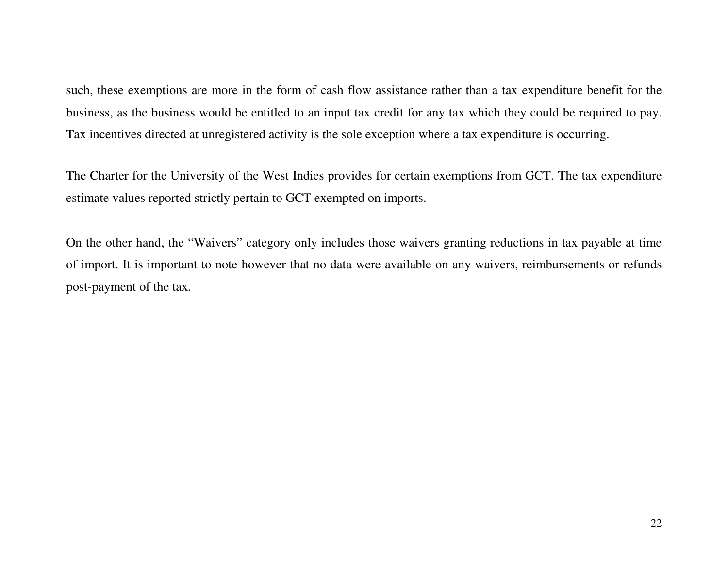such, these exemptions are more in the form of cash flow assistance rather than a tax expenditure benefit for the business, as the business would be entitled to an input tax credit for any tax which they could be required to pay. Tax incentives directed at unregistered activity is the sole exception where a tax expenditure is occurring.

The Charter for the University of the West Indies provides for certain exemptions from GCT. The tax expenditure estimate values reported strictly pertain to GCT exempted on imports.

On the other hand, the "Waivers" category only includes those waivers granting reductions in tax payable at time of import. It is important to note however that no data were available on any waivers, reimbursements or refunds post-payment of the tax.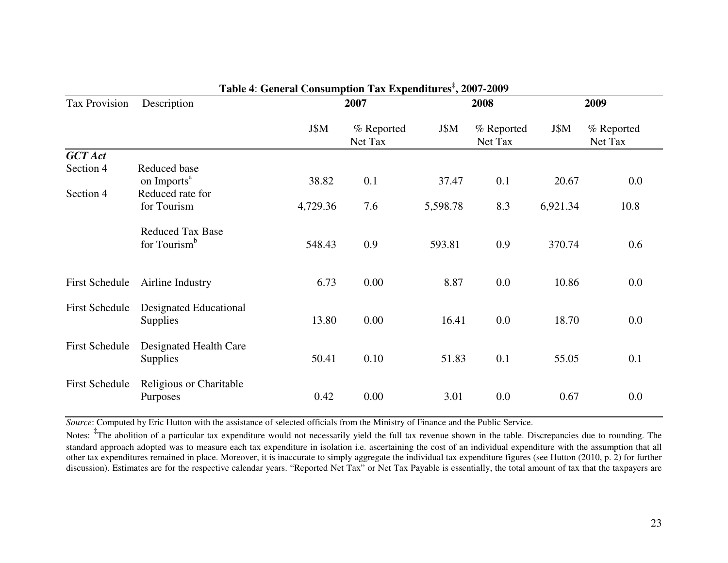| <b>Tax Provision</b>  | Description                               |          | 2007                  |          | 2008                  | 2009     |                       |
|-----------------------|-------------------------------------------|----------|-----------------------|----------|-----------------------|----------|-----------------------|
|                       |                                           | J\$M     | % Reported<br>Net Tax | J\$M     | % Reported<br>Net Tax | J\$M     | % Reported<br>Net Tax |
| <b>GCT</b> Act        |                                           |          |                       |          |                       |          |                       |
| Section 4             | Reduced base                              |          |                       |          |                       |          |                       |
|                       | on Imports <sup>a</sup>                   | 38.82    | 0.1                   | 37.47    | 0.1                   | 20.67    | $0.0\,$               |
| Section 4             | Reduced rate for                          |          |                       |          |                       |          |                       |
|                       | for Tourism                               | 4,729.36 | 7.6                   | 5,598.78 | 8.3                   | 6,921.34 | 10.8                  |
|                       | <b>Reduced Tax Base</b>                   |          |                       |          |                       |          |                       |
|                       | for Tourism <sup>b</sup>                  | 548.43   | 0.9                   | 593.81   | 0.9                   | 370.74   | 0.6                   |
| First Schedule        | Airline Industry                          | 6.73     | 0.00                  | 8.87     | 0.0                   | 10.86    | 0.0                   |
|                       |                                           |          |                       |          |                       |          |                       |
| First Schedule        | Designated Educational<br><b>Supplies</b> | 13.80    | 0.00                  | 16.41    | 0.0                   | 18.70    | 0.0                   |
| <b>First Schedule</b> | Designated Health Care<br><b>Supplies</b> | 50.41    | 0.10                  | 51.83    | 0.1                   | 55.05    | 0.1                   |
| <b>First Schedule</b> | Religious or Charitable<br>Purposes       | 0.42     | 0.00                  | 3.01     | 0.0                   | 0.67     | 0.0                   |

# **Table 4**: **General Consumption Tax Expenditures**‡**, 2007-2009**

*Source*: Computed by Eric Hutton with the assistance of selected officials from the Ministry of Finance and the Public Service.

Notes: <sup>‡</sup>The abolition of a particular tax expenditure would not necessarily yield the full tax revenue shown in the table. Discrepancies due to rounding. The standard approach adopted was to measure each tax expenditure in isolation i.e. ascertaining the cost of an individual expenditure with the assumption that all other tax expenditures remained in place. Moreover, it is inaccurate to simply aggregate the individual tax expenditure figures (see Hutton (2010, p. 2) for further discussion). Estimates are for the respective calendar years. "Reported Net Tax" or Net Tax Payable is essentially, the total amount of tax that the taxpayers are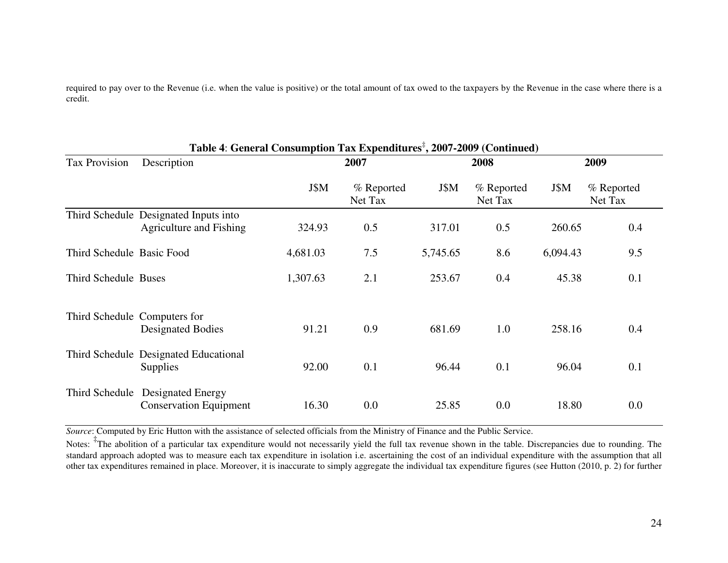required to pay over to the Revenue (i.e. when the value is positive) or the total amount of tax owed to the taxpayers by the Revenue in the case where there is a credit.

|                              | Table 4: General Consumption Tax Expenditures <sup>‡</sup> , 2007-2009 (Continued) |          |                       |          |                       |          |                       |
|------------------------------|------------------------------------------------------------------------------------|----------|-----------------------|----------|-----------------------|----------|-----------------------|
| <b>Tax Provision</b>         | Description                                                                        |          | 2007                  |          | 2008                  |          | 2009                  |
|                              |                                                                                    | J\$M     | % Reported<br>Net Tax | J\$M     | % Reported<br>Net Tax | J\$M     | % Reported<br>Net Tax |
|                              | Third Schedule Designated Inputs into<br>Agriculture and Fishing                   | 324.93   | 0.5                   | 317.01   | 0.5                   | 260.65   | 0.4                   |
| Third Schedule Basic Food    |                                                                                    | 4,681.03 | 7.5                   | 5,745.65 | 8.6                   | 6,094.43 | 9.5                   |
| Third Schedule Buses         |                                                                                    | 1,307.63 | 2.1                   | 253.67   | 0.4                   | 45.38    | 0.1                   |
| Third Schedule Computers for | <b>Designated Bodies</b>                                                           | 91.21    | 0.9                   | 681.69   | 1.0                   | 258.16   | 0.4                   |
|                              | Third Schedule Designated Educational<br><b>Supplies</b>                           | 92.00    | 0.1                   | 96.44    | 0.1                   | 96.04    | 0.1                   |
| Third Schedule               | <b>Designated Energy</b><br><b>Conservation Equipment</b>                          | 16.30    | 0.0                   | 25.85    | 0.0                   | 18.80    | 0.0                   |

*Source*: Computed by Eric Hutton with the assistance of selected officials from the Ministry of Finance and the Public Service.

Notes: <sup>‡</sup>The abolition of a particular tax expenditure would not necessarily yield the full tax revenue shown in the table. Discrepancies due to rounding. The standard approach adopted was to measure each tax expenditure in isolation i.e. ascertaining the cost of an individual expenditure with the assumption that all other tax expenditures remained in place. Moreover, it is inaccurate to simply aggregate the individual tax expenditure figures (see Hutton (2010, p. 2) for further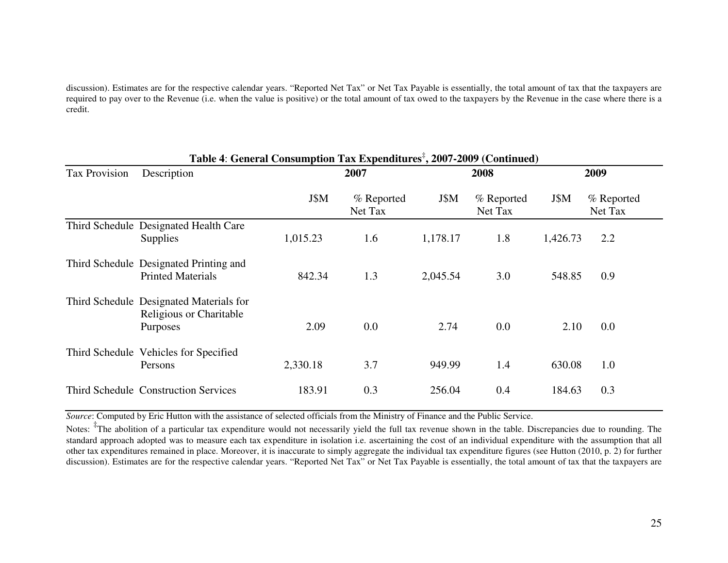discussion). Estimates are for the respective calendar years. "Reported Net Tax" or Net Tax Payable is essentially, the total amount of tax that the taxpayers are required to pay over to the Revenue (i.e. when the value is positive) or the total amount of tax owed to the taxpayers by the Revenue in the case where there is a credit.

|                      | Table 4: General Consumption Tax Expenditures <sup>‡</sup> , 2007-2009 (Continued)    |          |                       |          |                       |          |                       |
|----------------------|---------------------------------------------------------------------------------------|----------|-----------------------|----------|-----------------------|----------|-----------------------|
| <b>Tax Provision</b> | Description                                                                           |          | 2007                  |          | 2008                  | 2009     |                       |
|                      |                                                                                       | J\$M     | % Reported<br>Net Tax | J\$M     | % Reported<br>Net Tax | J\$M     | % Reported<br>Net Tax |
|                      | Third Schedule Designated Health Care<br><b>Supplies</b>                              | 1,015.23 | 1.6                   | 1,178.17 | 1.8                   | 1,426.73 | 2.2                   |
|                      | Third Schedule Designated Printing and<br><b>Printed Materials</b>                    | 842.34   | 1.3                   | 2,045.54 | 3.0                   | 548.85   | 0.9                   |
|                      | Third Schedule Designated Materials for<br>Religious or Charitable<br><b>Purposes</b> | 2.09     | 0.0                   | 2.74     | 0.0                   | 2.10     | 0.0                   |
|                      | Third Schedule Vehicles for Specified<br>Persons                                      | 2,330.18 | 3.7                   | 949.99   | 1.4                   | 630.08   | 1.0                   |
|                      | <b>Third Schedule Construction Services</b>                                           | 183.91   | 0.3                   | 256.04   | 0.4                   | 184.63   | 0.3                   |

*Source*: Computed by Eric Hutton with the assistance of selected officials from the Ministry of Finance and the Public Service.

Notes: <sup>‡</sup>The abolition of a particular tax expenditure would not necessarily yield the full tax revenue shown in the table. Discrepancies due to rounding. The standard approach adopted was to measure each tax expenditure in isolation i.e. ascertaining the cost of an individual expenditure with the assumption that all other tax expenditures remained in place. Moreover, it is inaccurate to simply aggregate the individual tax expenditure figures (see Hutton (2010, p. 2) for further discussion). Estimates are for the respective calendar years. "Reported Net Tax" or Net Tax Payable is essentially, the total amount of tax that the taxpayers are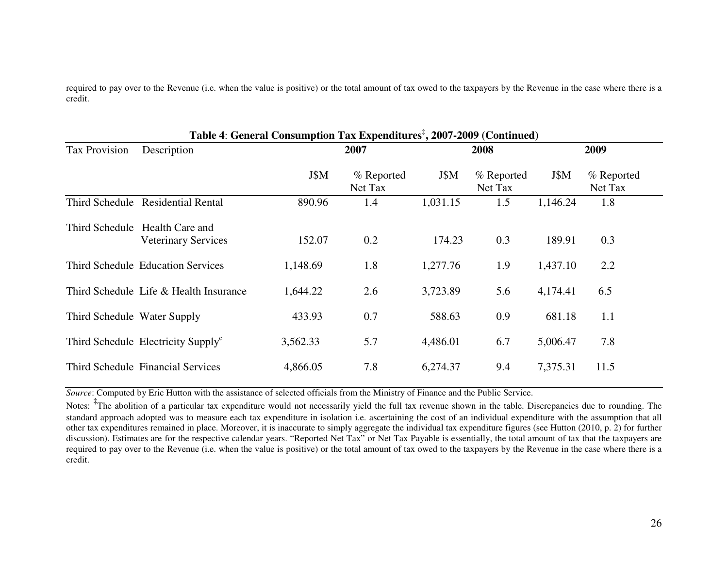required to pay over to the Revenue (i.e. when the value is positive) or the total amount of tax owed to the taxpayers by the Revenue in the case where there is a credit.

|                             |                                                              | Table 4: General Consumption Tax Expenditures <sup>+</sup> , 2007-2009 (Continued) |                       |          |                       |          |                       |  |
|-----------------------------|--------------------------------------------------------------|------------------------------------------------------------------------------------|-----------------------|----------|-----------------------|----------|-----------------------|--|
| Tax Provision               | Description                                                  |                                                                                    | 2007                  |          | 2008                  | 2009     |                       |  |
|                             |                                                              | J\$M                                                                               | % Reported<br>Net Tax | J\$M     | % Reported<br>Net Tax | J\$M     | % Reported<br>Net Tax |  |
|                             | Third Schedule Residential Rental                            | 890.96                                                                             | 1.4                   | 1,031.15 | 1.5                   | 1,146.24 | 1.8                   |  |
|                             | Third Schedule Health Care and<br><b>Veterinary Services</b> | 152.07                                                                             | 0.2                   | 174.23   | 0.3                   | 189.91   | 0.3                   |  |
|                             | <b>Third Schedule Education Services</b>                     | 1,148.69                                                                           | 1.8                   | 1,277.76 | 1.9                   | 1,437.10 | 2.2                   |  |
|                             | Third Schedule Life & Health Insurance                       | 1,644.22                                                                           | 2.6                   | 3,723.89 | 5.6                   | 4,174.41 | 6.5                   |  |
| Third Schedule Water Supply |                                                              | 433.93                                                                             | 0.7                   | 588.63   | 0.9                   | 681.18   | 1.1                   |  |
|                             | Third Schedule Electricity Supply <sup>c</sup>               | 3,562.33                                                                           | 5.7                   | 4,486.01 | 6.7                   | 5,006.47 | 7.8                   |  |
|                             | Third Schedule Financial Services                            | 4,866.05                                                                           | 7.8                   | 6,274.37 | 9.4                   | 7,375.31 | 11.5                  |  |

**Table 4**: **General Consumption Tax Expenditures**‡**, 2007-2009 (Continued)**

*Source*: Computed by Eric Hutton with the assistance of selected officials from the Ministry of Finance and the Public Service.

Notes: <sup>‡</sup>The abolition of a particular tax expenditure would not necessarily yield the full tax revenue shown in the table. Discrepancies due to rounding. The standard approach adopted was to measure each tax expenditure in isolation i.e. ascertaining the cost of an individual expenditure with the assumption that all other tax expenditures remained in place. Moreover, it is inaccurate to simply aggregate the individual tax expenditure figures (see Hutton (2010, p. 2) for further discussion). Estimates are for the respective calendar years. "Reported Net Tax" or Net Tax Payable is essentially, the total amount of tax that the taxpayers are required to pay over to the Revenue (i.e. when the value is positive) or the total amount of tax owed to the taxpayers by the Revenue in the case where there is a credit.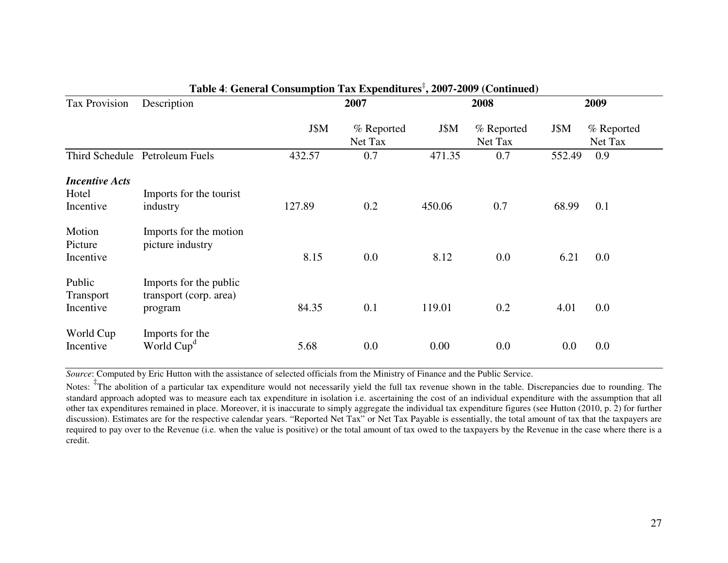|                                             |                                                             | Table 4. General Consumption Tax Expenditures, 2007-2009 (Continued) |                       |        |                       |         |                       |
|---------------------------------------------|-------------------------------------------------------------|----------------------------------------------------------------------|-----------------------|--------|-----------------------|---------|-----------------------|
| <b>Tax Provision</b>                        | Description                                                 |                                                                      | 2007                  |        | 2008                  | 2009    |                       |
|                                             |                                                             | J\$M                                                                 | % Reported<br>Net Tax | J\$M   | % Reported<br>Net Tax | J\$M    | % Reported<br>Net Tax |
| Third Schedule                              | Petroleum Fuels                                             | 432.57                                                               | 0.7                   | 471.35 | 0.7                   | 552.49  | 0.9                   |
| <b>Incentive Acts</b><br>Hotel<br>Incentive | Imports for the tourist<br>industry                         | 127.89                                                               | 0.2                   | 450.06 | 0.7                   | 68.99   | 0.1                   |
| Motion<br>Picture<br>Incentive              | Imports for the motion<br>picture industry                  | 8.15                                                                 | 0.0                   | 8.12   | 0.0                   | 6.21    | 0.0                   |
| Public<br><b>Transport</b><br>Incentive     | Imports for the public<br>transport (corp. area)<br>program | 84.35                                                                | 0.1                   | 119.01 | 0.2                   | 4.01    | $0.0\,$               |
| World Cup<br>Incentive                      | Imports for the<br>World Cup <sup>d</sup>                   | 5.68                                                                 | 0.0                   | 0.00   | 0.0                   | $0.0\,$ | 0.0                   |

# **Table 4**: **General Consumption Tax Expenditures**‡**, 2007-2009 (Continued)**

*Source*: Computed by Eric Hutton with the assistance of selected officials from the Ministry of Finance and the Public Service.

Notes: <sup>‡</sup>The abolition of a particular tax expenditure would not necessarily yield the full tax revenue shown in the table. Discrepancies due to rounding. The standard approach adopted was to measure each tax expenditure in isolation i.e. ascertaining the cost of an individual expenditure with the assumption that all other tax expenditures remained in place. Moreover, it is inaccurate to simply aggregate the individual tax expenditure figures (see Hutton (2010, p. 2) for further discussion). Estimates are for the respective calendar years. "Reported Net Tax" or Net Tax Payable is essentially, the total amount of tax that the taxpayers are required to pay over to the Revenue (i.e. when the value is positive) or the total amount of tax owed to the taxpayers by the Revenue in the case where there is a credit.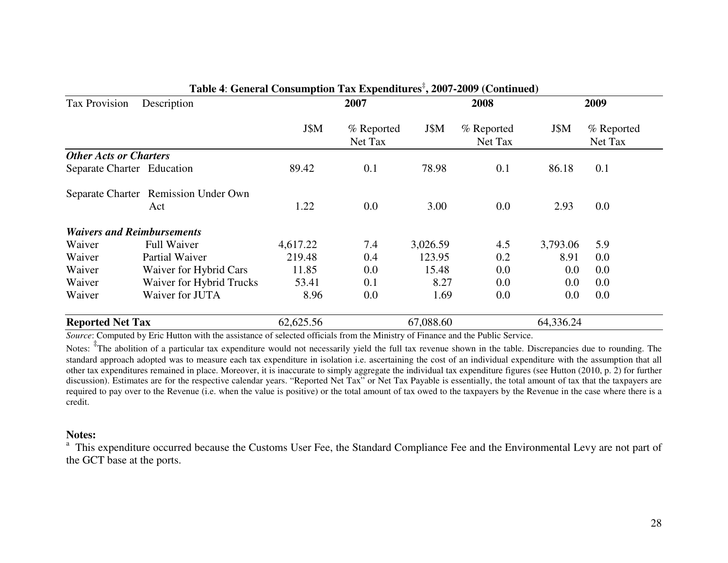| <b>Tax Provision</b>              | Description                          | 2007      |                       | 2008      |                       |           | 2009                  |  |
|-----------------------------------|--------------------------------------|-----------|-----------------------|-----------|-----------------------|-----------|-----------------------|--|
|                                   |                                      | J\$M      | % Reported<br>Net Tax | J\$M      | % Reported<br>Net Tax | J\$M      | % Reported<br>Net Tax |  |
| <b>Other Acts or Charters</b>     |                                      |           |                       |           |                       |           |                       |  |
| Separate Charter Education        |                                      | 89.42     | 0.1                   | 78.98     | 0.1                   | 86.18     | 0.1                   |  |
|                                   | Separate Charter Remission Under Own |           |                       |           |                       |           |                       |  |
|                                   | Act                                  | 1.22      | 0.0                   | 3.00      | 0.0                   | 2.93      | $0.0\,$               |  |
| <b>Waivers and Reimbursements</b> |                                      |           |                       |           |                       |           |                       |  |
| Waiver                            | <b>Full Waiver</b>                   | 4,617.22  | 7.4                   | 3,026.59  | 4.5                   | 3,793.06  | 5.9                   |  |
| Waiver                            | Partial Waiver                       | 219.48    | 0.4                   | 123.95    | 0.2                   | 8.91      | 0.0                   |  |
| Waiver                            | Waiver for Hybrid Cars               | 11.85     | 0.0                   | 15.48     | 0.0                   | $0.0\,$   | 0.0                   |  |
| Waiver                            | Waiver for Hybrid Trucks             | 53.41     | 0.1                   | 8.27      | 0.0                   | $0.0\,$   | 0.0                   |  |
| Waiver                            | Waiver for JUTA                      | 8.96      | 0.0                   | 1.69      | 0.0                   | $0.0\,$   | 0.0                   |  |
| <b>Reported Net Tax</b>           |                                      | 62,625.56 |                       | 67,088.60 |                       | 64,336.24 |                       |  |

### **Table 4**: **General Consumption Tax Expenditures**‡**, 2007-2009 (Continued)**

*Source*: Computed by Eric Hutton with the assistance of selected officials from the Ministry of Finance and the Public Service.

Notes: <sup>‡</sup>The abolition of a particular tax expenditure would not necessarily yield the full tax revenue shown in the table. Discrepancies due to rounding. The standard approach adopted was to measure each tax expenditure in isolation i.e. ascertaining the cost of an individual expenditure with the assumption that all other tax expenditures remained in place. Moreover, it is inaccurate to simply aggregate the individual tax expenditure figures (see Hutton (2010, p. 2) for further discussion). Estimates are for the respective calendar years. "Reported Net Tax" or Net Tax Payable is essentially, the total amount of tax that the taxpayers are required to pay over to the Revenue (i.e. when the value is positive) or the total amount of tax owed to the taxpayers by the Revenue in the case where there is a credit.

#### **Notes:**

<sup>a</sup> This expenditure occurred because the Customs User Fee, the Standard Compliance Fee and the Environmental Levy are not part of the GCT base at the ports.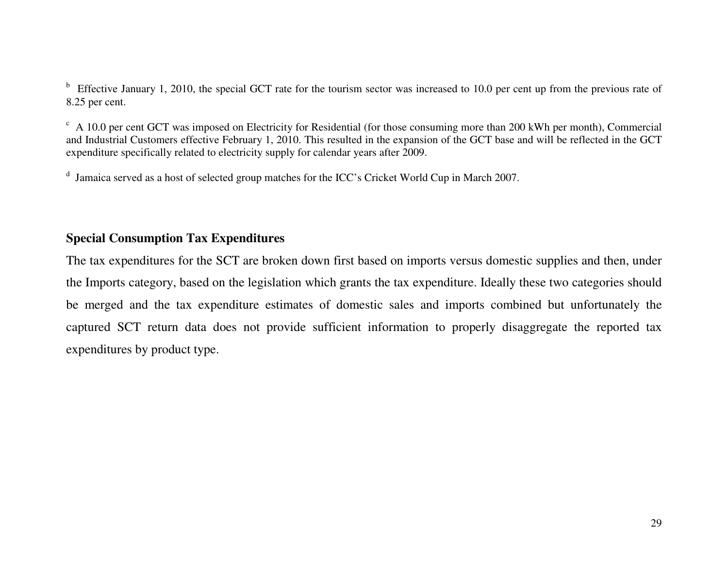$<sup>b</sup>$  Effective January 1, 2010, the special GCT rate for the tourism sector was increased to 10.0 per cent up from the previous rate of</sup> 8.25 per cent.

 $c$  A 10.0 per cent GCT was imposed on Electricity for Residential (for those consuming more than 200 kWh per month), Commercial and Industrial Customers effective February 1, 2010. This resulted in the expansion of the GCT base and will be reflected in the GCT expenditure specifically related to electricity supply for calendar years after 2009.

<sup>d</sup> Jamaica served as a host of selected group matches for the ICC's Cricket World Cup in March 2007.

# **Special Consumption Tax Expenditures**

The tax expenditures for the SCT are broken down first based on imports versus domestic supplies and then, under the Imports category, based on the legislation which grants the tax expenditure. Ideally these two categories should be merged and the tax expenditure estimates of domestic sales and imports combined but unfortunately the captured SCT return data does not provide sufficient information to properly disaggregate the reported tax expenditures by product type.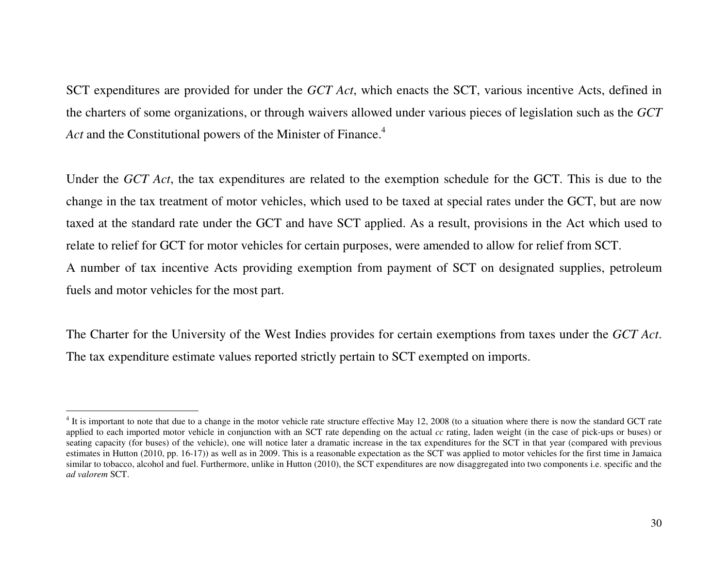SCT expenditures are provided for under the *GCT Act*, which enacts the SCT, various incentive Acts, defined in the charters of some organizations, or through waivers allowed under various pieces of legislation such as the *GCT* Act and the Constitutional powers of the Minister of Finance.<sup>4</sup>

Under the *GCT Act*, the tax expenditures are related to the exemption schedule for the GCT. This is due to the change in the tax treatment of motor vehicles, which used to be taxed at special rates under the GCT, but are now taxed at the standard rate under the GCT and have SCT applied. As a result, provisions in the Act which used to relate to relief for GCT for motor vehicles for certain purposes, were amended to allow for relief from SCT. A number of tax incentive Acts providing exemption from payment of SCT on designated supplies, petroleum fuels and motor vehicles for the most part.

The Charter for the University of the West Indies provides for certain exemptions from taxes under the *GCT Act*. The tax expenditure estimate values reported strictly pertain to SCT exempted on imports.

<sup>&</sup>lt;sup>4</sup> It is important to note that due to a change in the motor vehicle rate structure effective May 12, 2008 (to a situation where there is now the standard GCT rate applied to each imported motor vehicle in conjunction with an SCT rate depending on the actual *cc* rating, laden weight (in the case of pick-ups or buses) or seating capacity (for buses) of the vehicle), one will notice later a dramatic increase in the tax expenditures for the SCT in that year (compared with previous estimates in Hutton (2010, pp. 16-17)) as well as in 2009. This is a reasonable expectation as the SCT was applied to motor vehicles for the first time in Jamaica similar to tobacco, alcohol and fuel. Furthermore, unlike in Hutton (2010), the SCT expenditures are now disaggregated into two components i.e. specific and the *ad valorem* SCT.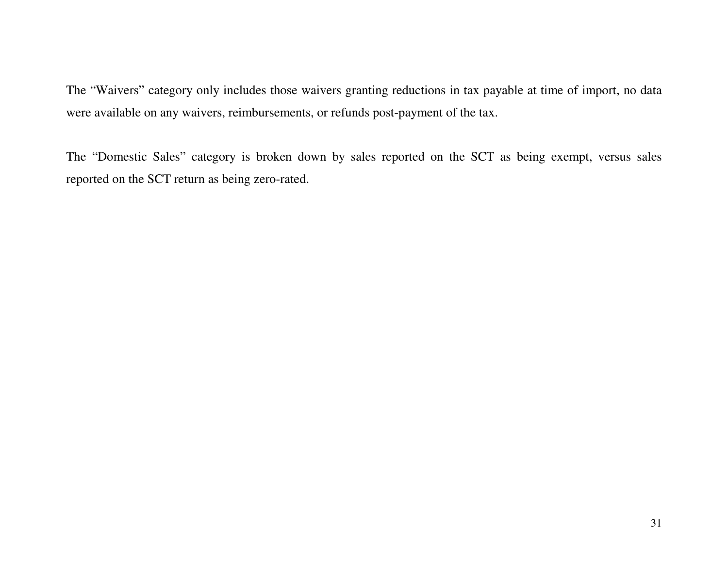The "Waivers" category only includes those waivers granting reductions in tax payable at time of import, no data were available on any waivers, reimbursements, or refunds post-payment of the tax.

The "Domestic Sales" category is broken down by sales reported on the SCT as being exempt, versus sales reported on the SCT return as being zero-rated.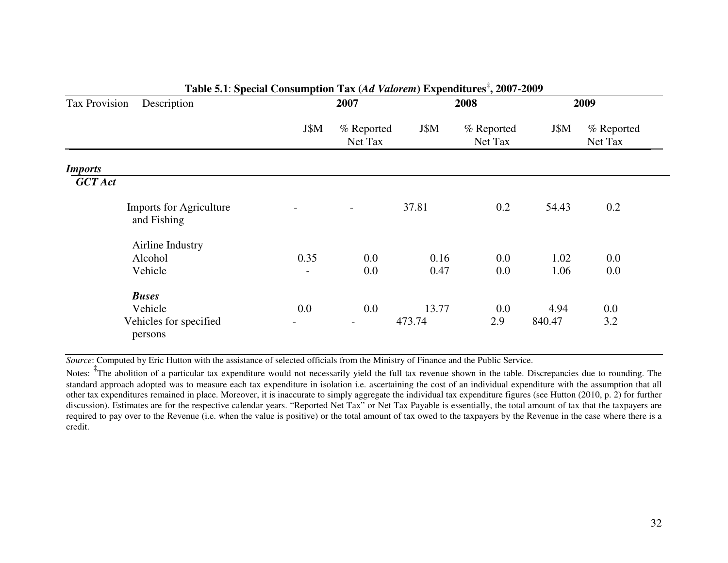| Tax Provision  | Description                                   |                | 2007                     |        | 2008                  |        | 2009                  |
|----------------|-----------------------------------------------|----------------|--------------------------|--------|-----------------------|--------|-----------------------|
|                |                                               | J\$M           | % Reported<br>Net Tax    | J\$M   | % Reported<br>Net Tax | J\$M   | % Reported<br>Net Tax |
| <b>Imports</b> |                                               |                |                          |        |                       |        |                       |
| <b>GCT</b> Act |                                               |                |                          |        |                       |        |                       |
|                | <b>Imports for Agriculture</b><br>and Fishing |                | $\overline{\phantom{0}}$ | 37.81  | 0.2                   | 54.43  | 0.2                   |
|                | Airline Industry                              |                |                          |        |                       |        |                       |
|                | Alcohol                                       | 0.35           | 0.0                      | 0.16   | 0.0                   | 1.02   | $0.0\,$               |
|                | Vehicle                                       | $\blacksquare$ | 0.0                      | 0.47   | 0.0                   | 1.06   | 0.0                   |
|                | <b>Buses</b>                                  |                |                          |        |                       |        |                       |
|                | Vehicle                                       | 0.0            | 0.0                      | 13.77  | 0.0                   | 4.94   | 0.0                   |
|                | Vehicles for specified<br>persons             |                | $\overline{\phantom{a}}$ | 473.74 | 2.9                   | 840.47 | 3.2                   |

#### **Table 5.1**: **Special Consumption Tax (***Ad Valorem***) Expenditures**‡**, 2007-2009**

*Source*: Computed by Eric Hutton with the assistance of selected officials from the Ministry of Finance and the Public Service.

Notes: <sup>‡</sup>The abolition of a particular tax expenditure would not necessarily yield the full tax revenue shown in the table. Discrepancies due to rounding. The standard approach adopted was to measure each tax expenditure in isolation i.e. ascertaining the cost of an individual expenditure with the assumption that all other tax expenditures remained in place. Moreover, it is inaccurate to simply aggregate the individual tax expenditure figures (see Hutton (2010, p. 2) for further discussion). Estimates are for the respective calendar years. "Reported Net Tax" or Net Tax Payable is essentially, the total amount of tax that the taxpayers are required to pay over to the Revenue (i.e. when the value is positive) or the total amount of tax owed to the taxpayers by the Revenue in the case where there is a credit.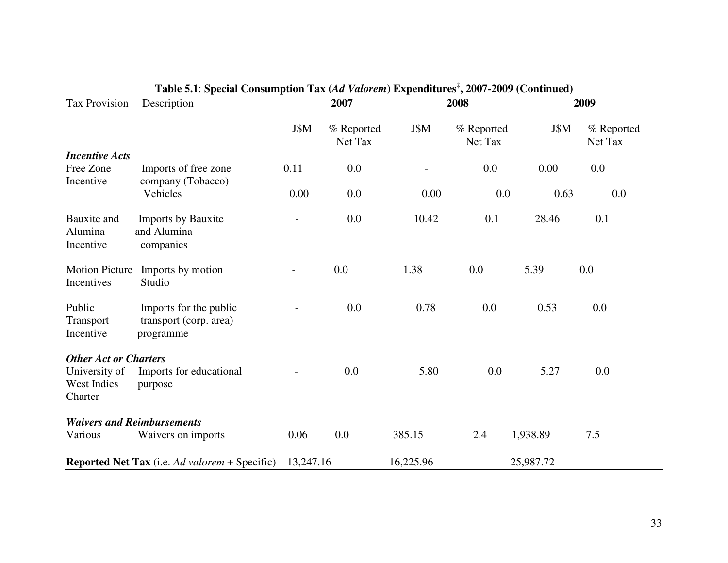| Tax Provision                                                           | Description                                                   |           | 2007                  |           | 2008                  |           | 2009                  |  |  |
|-------------------------------------------------------------------------|---------------------------------------------------------------|-----------|-----------------------|-----------|-----------------------|-----------|-----------------------|--|--|
|                                                                         |                                                               | J\$M      | % Reported<br>Net Tax | J\$M      | % Reported<br>Net Tax | J\$M      | % Reported<br>Net Tax |  |  |
| <b>Incentive Acts</b>                                                   |                                                               |           |                       |           |                       |           |                       |  |  |
| Free Zone<br>Incentive                                                  | Imports of free zone<br>company (Tobacco)                     | 0.11      | 0.0                   |           | 0.0                   | 0.00      | 0.0                   |  |  |
|                                                                         | Vehicles                                                      | 0.00      | 0.0                   | 0.00      | 0.0                   | 0.63      | 0.0                   |  |  |
| Bauxite and<br>Alumina<br>Incentive                                     | <b>Imports by Bauxite</b><br>and Alumina<br>companies         |           | 0.0                   | 10.42     | 0.1                   | 28.46     | 0.1                   |  |  |
| <b>Motion Picture</b><br>Incentives                                     | Imports by motion<br>Studio                                   |           | 0.0                   | 1.38      | 0.0                   | 5.39      | 0.0                   |  |  |
| Public<br>Transport<br>Incentive                                        | Imports for the public<br>transport (corp. area)<br>programme |           | 0.0                   | 0.78      | 0.0                   | 0.53      | 0.0                   |  |  |
| <b>Other Act or Charters</b><br>University of<br>West Indies<br>Charter | Imports for educational<br>purpose                            |           | 0.0                   | 5.80      | $0.0\,$               | 5.27      | 0.0                   |  |  |
|                                                                         | <b>Waivers and Reimbursements</b>                             |           |                       |           |                       |           |                       |  |  |
| Various                                                                 | Waivers on imports                                            | 0.06      | 0.0                   | 385.15    | 2.4                   | 1,938.89  | 7.5                   |  |  |
|                                                                         | <b>Reported Net Tax</b> (i.e. Ad valorem + Specific)          | 13,247.16 |                       | 16,225.96 |                       | 25,987.72 |                       |  |  |

# **Table 5.1**: **Special Consumption Tax (***Ad Valorem***) Expenditures**‡**, 2007-2009 (Continued)**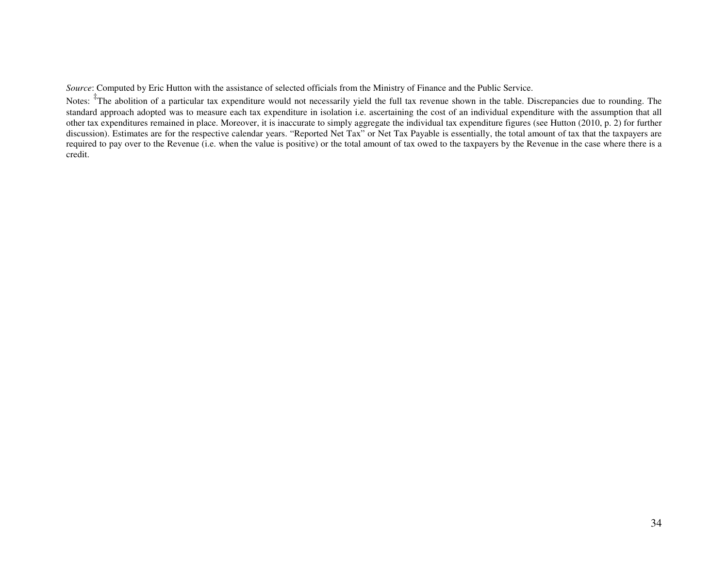*Source*: Computed by Eric Hutton with the assistance of selected officials from the Ministry of Finance and the Public Service.

Notes: <sup>‡</sup>The abolition of a particular tax expenditure would not necessarily yield the full tax revenue shown in the table. Discrepancies due to rounding. The standard approach adopted was to measure each tax expenditure in isolation i.e. ascertaining the cost of an individual expenditure with the assumption that all other tax expenditures remained in place. Moreover, it is inaccurate to simply aggregate the individual tax expenditure figures (see Hutton (2010, p. 2) for further discussion). Estimates are for the respective calendar years. "Reported Net Tax" or Net Tax Payable is essentially, the total amount of tax that the taxpayers are required to pay over to the Revenue (i.e. when the value is positive) or the total amount of tax owed to the taxpayers by the Revenue in the case where there is a credit.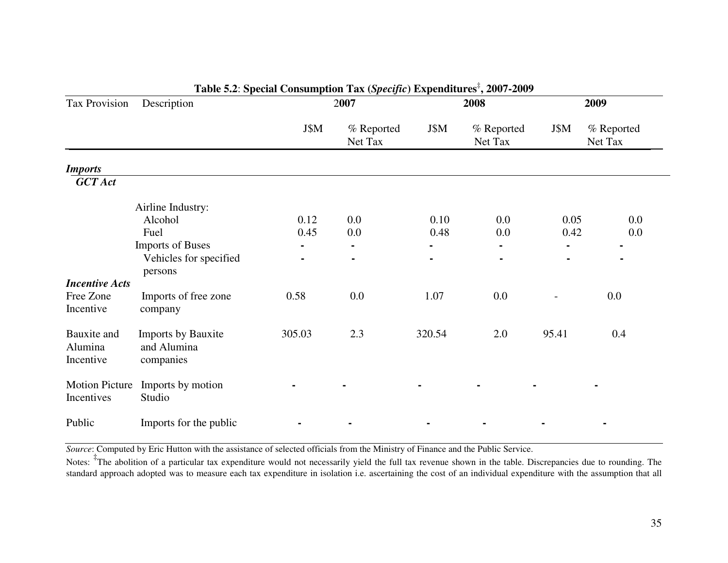| Tax Provision                       | Description                                           |                | 2007                  |                | Table 3.2. Special Consumption Tax (Specific) Expenditures $, 2007$ -2007<br>2008 |                | 2009                  |
|-------------------------------------|-------------------------------------------------------|----------------|-----------------------|----------------|-----------------------------------------------------------------------------------|----------------|-----------------------|
|                                     |                                                       | J\$M           | % Reported<br>Net Tax | J\$M           | % Reported<br>Net Tax                                                             | J\$M           | % Reported<br>Net Tax |
| <b>Imports</b>                      |                                                       |                |                       |                |                                                                                   |                |                       |
| <b>GCT</b> Act                      |                                                       |                |                       |                |                                                                                   |                |                       |
|                                     | Airline Industry:                                     |                |                       |                |                                                                                   |                |                       |
|                                     | Alcohol                                               | 0.12           | $0.0\,$               | 0.10           | $0.0\,$                                                                           | 0.05           | 0.0                   |
|                                     | Fuel                                                  | 0.45           | 0.0                   | 0.48           | 0.0                                                                               | 0.42           | 0.0                   |
|                                     | <b>Imports of Buses</b>                               | $\blacksquare$ | $\blacksquare$        | $\blacksquare$ |                                                                                   | $\blacksquare$ |                       |
|                                     | Vehicles for specified<br>persons                     | $\blacksquare$ | $\blacksquare$        | $\blacksquare$ | $\blacksquare$                                                                    |                | $\blacksquare$        |
| <b>Incentive Acts</b>               |                                                       |                |                       |                |                                                                                   |                |                       |
| Free Zone<br>Incentive              | Imports of free zone<br>company                       | 0.58           | 0.0                   | 1.07           | 0.0                                                                               |                | $0.0\,$               |
| Bauxite and<br>Alumina<br>Incentive | <b>Imports by Bauxite</b><br>and Alumina<br>companies | 305.03         | 2.3                   | 320.54         | 2.0                                                                               | 95.41          | 0.4                   |
| <b>Motion Picture</b><br>Incentives | Imports by motion<br>Studio                           |                |                       |                |                                                                                   |                |                       |
| Public                              | Imports for the public                                |                |                       |                |                                                                                   |                |                       |

# **Table 5.2**: **Special Consumption Tax (***Specific***) Expenditures**‡**, 2007-2009**

*Source*: Computed by Eric Hutton with the assistance of selected officials from the Ministry of Finance and the Public Service.

Notes: <sup>‡</sup>The abolition of a particular tax expenditure would not necessarily yield the full tax revenue shown in the table. Discrepancies due to rounding. The standard approach adopted was to measure each tax expenditure in isolation i.e. ascertaining the cost of an individual expenditure with the assumption that all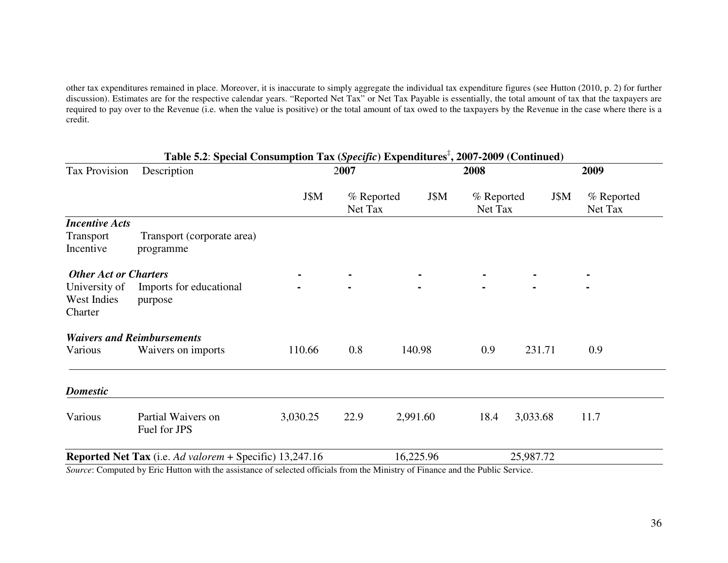other tax expenditures remained in place. Moreover, it is inaccurate to simply aggregate the individual tax expenditure figures (see Hutton (2010, p. 2) for further discussion). Estimates are for the respective calendar years. "Reported Net Tax" or Net Tax Payable is essentially, the total amount of tax that the taxpayers are required to pay over to the Revenue (i.e. when the value is positive) or the total amount of tax owed to the taxpayers by the Revenue in the case where there is a credit.

|                                         | Table 5.2: Special Consumption Tax (Specific) Expenditures <sup><math>\overline{z}</math></sup> , 2007-2009 (Continued) |          |                       |           |                       |           |                       |  |
|-----------------------------------------|-------------------------------------------------------------------------------------------------------------------------|----------|-----------------------|-----------|-----------------------|-----------|-----------------------|--|
| Tax Provision                           | Description                                                                                                             |          | 2007                  |           | 2008                  |           | 2009                  |  |
|                                         |                                                                                                                         | J\$M     | % Reported<br>Net Tax | J\$M      | % Reported<br>Net Tax | J\$M      | % Reported<br>Net Tax |  |
| <b>Incentive Acts</b>                   |                                                                                                                         |          |                       |           |                       |           |                       |  |
| Transport<br>Incentive                  | Transport (corporate area)<br>programme                                                                                 |          |                       |           |                       |           |                       |  |
| <b>Other Act or Charters</b>            |                                                                                                                         |          |                       |           |                       |           |                       |  |
| University of<br>West Indies<br>Charter | Imports for educational<br>purpose                                                                                      |          |                       |           |                       |           |                       |  |
|                                         | <b>Waivers and Reimbursements</b>                                                                                       |          |                       |           |                       |           |                       |  |
| Various                                 | Waivers on imports                                                                                                      | 110.66   | 0.8                   | 140.98    | 0.9                   | 231.71    | 0.9                   |  |
| <b>Domestic</b>                         |                                                                                                                         |          |                       |           |                       |           |                       |  |
| Various                                 | Partial Waivers on<br>Fuel for JPS                                                                                      | 3,030.25 | 22.9                  | 2,991.60  | 18.4                  | 3,033.68  | 11.7                  |  |
|                                         | Reported Net Tax (i.e. Ad valorem + Specific) 13,247.16                                                                 |          |                       | 16,225.96 |                       | 25,987.72 |                       |  |

*Source*: Computed by Eric Hutton with the assistance of selected officials from the Ministry of Finance and the Public Service.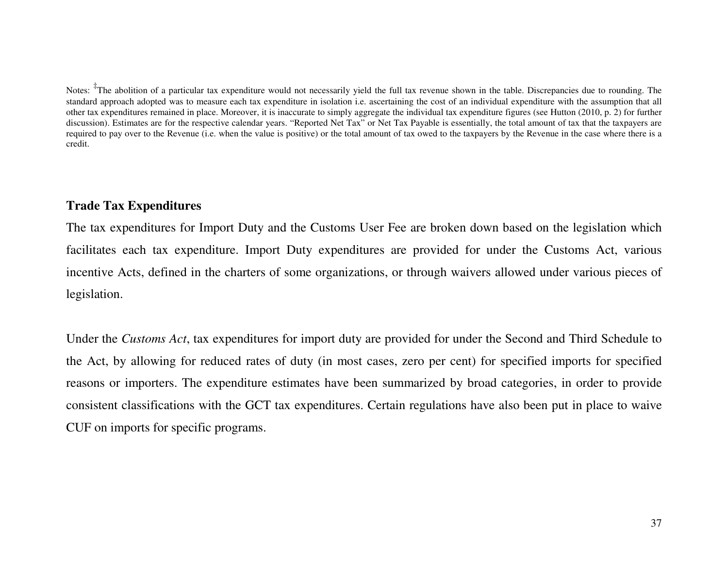Notes: <sup>‡</sup>The abolition of a particular tax expenditure would not necessarily yield the full tax revenue shown in the table. Discrepancies due to rounding. The standard approach adopted was to measure each tax expenditure in isolation i.e. ascertaining the cost of an individual expenditure with the assumption that all other tax expenditures remained in place. Moreover, it is inaccurate to simply aggregate the individual tax expenditure figures (see Hutton (2010, p. 2) for further discussion). Estimates are for the respective calendar years. "Reported Net Tax" or Net Tax Payable is essentially, the total amount of tax that the taxpayers are required to pay over to the Revenue (i.e. when the value is positive) or the total amount of tax owed to the taxpayers by the Revenue in the case where there is a credit.

# **Trade Tax Expenditures**

The tax expenditures for Import Duty and the Customs User Fee are broken down based on the legislation which facilitates each tax expenditure. Import Duty expenditures are provided for under the Customs Act, various incentive Acts, defined in the charters of some organizations, or through waivers allowed under various pieces of legislation.

Under the *Customs Act*, tax expenditures for import duty are provided for under the Second and Third Schedule to the Act, by allowing for reduced rates of duty (in most cases, zero per cent) for specified imports for specified reasons or importers. The expenditure estimates have been summarized by broad categories, in order to provide consistent classifications with the GCT tax expenditures. Certain regulations have also been put in place to waive CUF on imports for specific programs.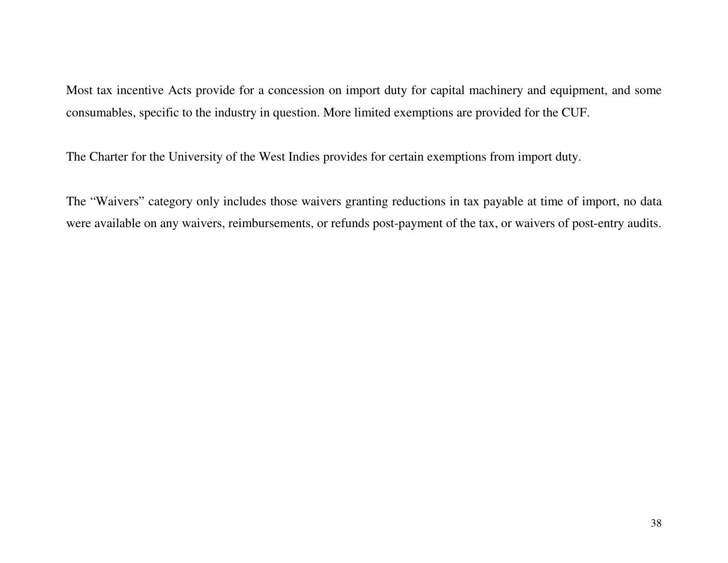Most tax incentive Acts provide for a concession on import duty for capital machinery and equipment, and some consumables, specific to the industry in question. More limited exemptions are provided for the CUF.

The Charter for the University of the West Indies provides for certain exemptions from import duty.

The "Waivers" category only includes those waivers granting reductions in tax payable at time of import, no data were available on any waivers, reimbursements, or refunds post-payment of the tax, or waivers of post-entry audits.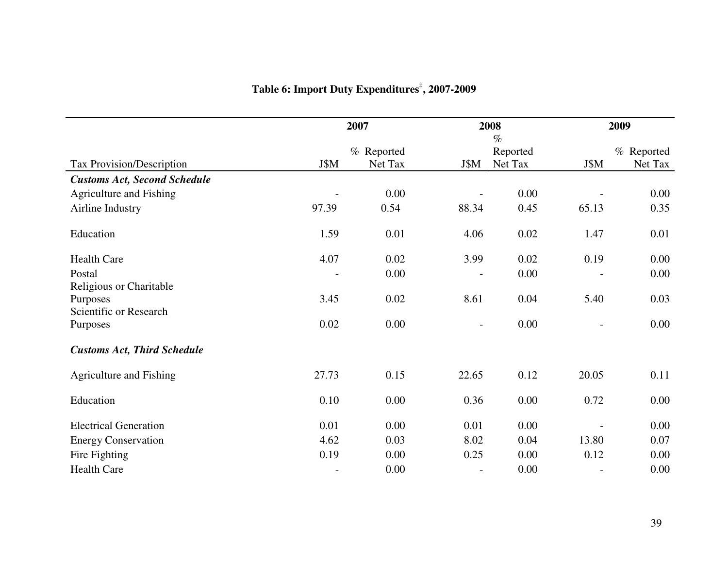|                                     | 2007                     |            |                          | 2008<br>$\%$ |                          | 2009       |
|-------------------------------------|--------------------------|------------|--------------------------|--------------|--------------------------|------------|
|                                     |                          | % Reported |                          | Reported     |                          | % Reported |
| Tax Provision/Description           | J\$M                     | Net Tax    | J\$M                     | Net Tax      | J\$M                     | Net Tax    |
| <b>Customs Act, Second Schedule</b> |                          |            |                          |              |                          |            |
| Agriculture and Fishing             |                          | 0.00       |                          | 0.00         |                          | 0.00       |
| Airline Industry                    | 97.39                    | 0.54       | 88.34                    | 0.45         | 65.13                    | 0.35       |
| Education                           | 1.59                     | 0.01       | 4.06                     | 0.02         | 1.47                     | 0.01       |
| <b>Health Care</b>                  | 4.07                     | 0.02       | 3.99                     | 0.02         | 0.19                     | 0.00       |
| Postal                              |                          | 0.00       |                          | 0.00         |                          | 0.00       |
| Religious or Charitable             |                          |            |                          |              |                          |            |
| Purposes                            | 3.45                     | 0.02       | 8.61                     | 0.04         | 5.40                     | 0.03       |
| Scientific or Research              |                          |            |                          |              |                          |            |
| Purposes                            | 0.02                     | 0.00       | $\overline{\phantom{a}}$ | 0.00         | $\overline{\phantom{a}}$ | 0.00       |
| <b>Customs Act, Third Schedule</b>  |                          |            |                          |              |                          |            |
| Agriculture and Fishing             | 27.73                    | 0.15       | 22.65                    | 0.12         | 20.05                    | 0.11       |
| Education                           | 0.10                     | 0.00       | 0.36                     | 0.00         | 0.72                     | 0.00       |
| <b>Electrical Generation</b>        | 0.01                     | 0.00       | 0.01                     | 0.00         |                          | 0.00       |
| <b>Energy Conservation</b>          | 4.62                     | 0.03       | 8.02                     | 0.04         | 13.80                    | 0.07       |
| Fire Fighting                       | 0.19                     | 0.00       | 0.25                     | 0.00         | 0.12                     | 0.00       |
| <b>Health Care</b>                  | $\overline{\phantom{a}}$ | 0.00       | $\overline{\phantom{a}}$ | 0.00         |                          | 0.00       |

# **Table 6: Import Duty Expenditures**‡**, 2007-2009**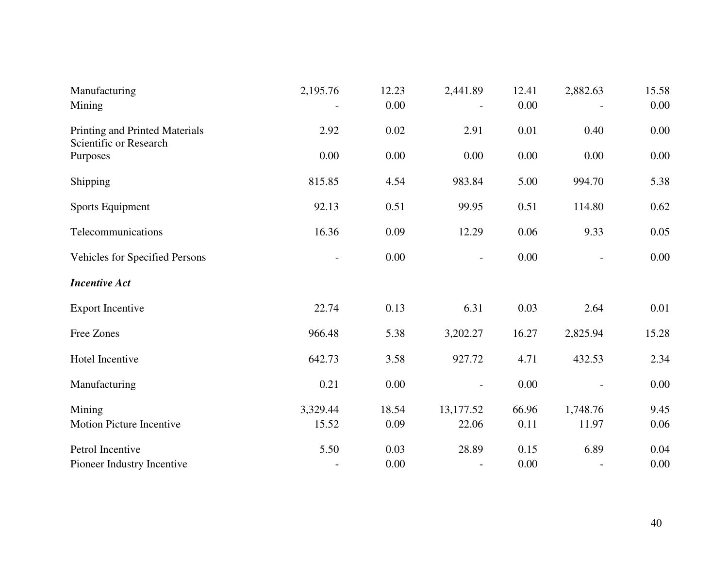| Manufacturing<br>Mining                                  | 2,195.76 | 12.23<br>0.00 | 2,441.89                 | 12.41<br>0.00 | 2,882.63 | 15.58<br>0.00 |
|----------------------------------------------------------|----------|---------------|--------------------------|---------------|----------|---------------|
| Printing and Printed Materials<br>Scientific or Research | 2.92     | 0.02          | 2.91                     | 0.01          | 0.40     | 0.00          |
| Purposes                                                 | 0.00     | 0.00          | 0.00                     | 0.00          | 0.00     | 0.00          |
| Shipping                                                 | 815.85   | 4.54          | 983.84                   | 5.00          | 994.70   | 5.38          |
| Sports Equipment                                         | 92.13    | 0.51          | 99.95                    | 0.51          | 114.80   | 0.62          |
| Telecommunications                                       | 16.36    | 0.09          | 12.29                    | 0.06          | 9.33     | 0.05          |
| Vehicles for Specified Persons                           |          | 0.00          | $\overline{\phantom{a}}$ | 0.00          |          | 0.00          |
| <b>Incentive Act</b>                                     |          |               |                          |               |          |               |
| <b>Export Incentive</b>                                  | 22.74    | 0.13          | 6.31                     | 0.03          | 2.64     | 0.01          |
| Free Zones                                               | 966.48   | 5.38          | 3,202.27                 | 16.27         | 2,825.94 | 15.28         |
| Hotel Incentive                                          | 642.73   | 3.58          | 927.72                   | 4.71          | 432.53   | 2.34          |
| Manufacturing                                            | 0.21     | 0.00          |                          | $0.00\,$      |          | 0.00          |
| Mining                                                   | 3,329.44 | 18.54         | 13,177.52                | 66.96         | 1,748.76 | 9.45          |
| <b>Motion Picture Incentive</b>                          | 15.52    | 0.09          | 22.06                    | 0.11          | 11.97    | 0.06          |
| Petrol Incentive                                         | 5.50     | 0.03          | 28.89                    | 0.15          | 6.89     | 0.04          |
| Pioneer Industry Incentive                               |          | 0.00          | $\overline{a}$           | 0.00          |          | 0.00          |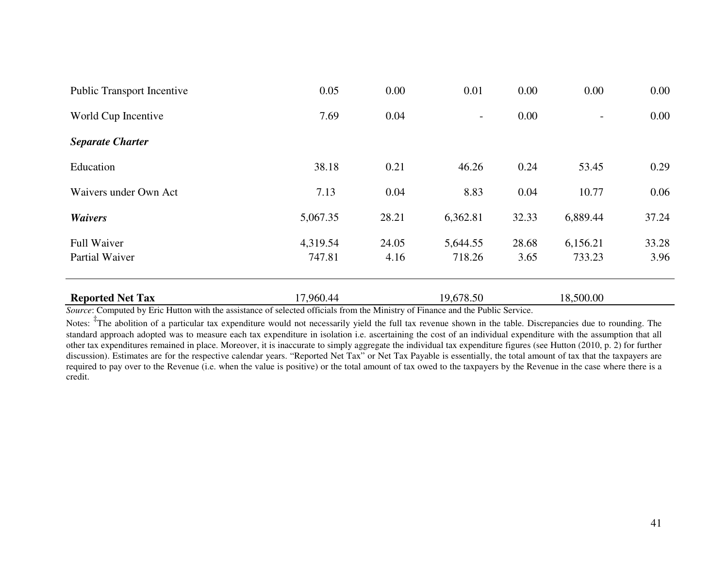| <b>Reported Net Tax</b>           | 17,960.44 |       | 19,678.50                |       | 18,500.00                |          |
|-----------------------------------|-----------|-------|--------------------------|-------|--------------------------|----------|
| Partial Waiver                    | 747.81    | 4.16  | 718.26                   | 3.65  | 733.23                   | 3.96     |
| <b>Full Waiver</b>                | 4,319.54  | 24.05 | 5,644.55                 | 28.68 | 6,156.21                 | 33.28    |
| <b>Waivers</b>                    | 5,067.35  | 28.21 | 6,362.81                 | 32.33 | 6,889.44                 | 37.24    |
| Waivers under Own Act             | 7.13      | 0.04  | 8.83                     | 0.04  | 10.77                    | 0.06     |
| Education                         | 38.18     | 0.21  | 46.26                    | 0.24  | 53.45                    | 0.29     |
| <b>Separate Charter</b>           |           |       |                          |       |                          |          |
| World Cup Incentive               | 7.69      | 0.04  | $\overline{\phantom{0}}$ | 0.00  | $\overline{\phantom{0}}$ | 0.00     |
| <b>Public Transport Incentive</b> | 0.05      | 0.00  | 0.01                     | 0.00  | 0.00                     | $0.00\,$ |

*Source*: Computed by Eric Hutton with the assistance of selected officials from the Ministry of Finance and the Public Service.

Notes: <sup>‡</sup>The abolition of a particular tax expenditure would not necessarily yield the full tax revenue shown in the table. Discrepancies due to rounding. The standard approach adopted was to measure each tax expenditure in isolation i.e. ascertaining the cost of an individual expenditure with the assumption that all other tax expenditures remained in place. Moreover, it is inaccurate to simply aggregate the individual tax expenditure figures (see Hutton (2010, p. 2) for further discussion). Estimates are for the respective calendar years. "Reported Net Tax" or Net Tax Payable is essentially, the total amount of tax that the taxpayers are required to pay over to the Revenue (i.e. when the value is positive) or the total amount of tax owed to the taxpayers by the Revenue in the case where there is a credit.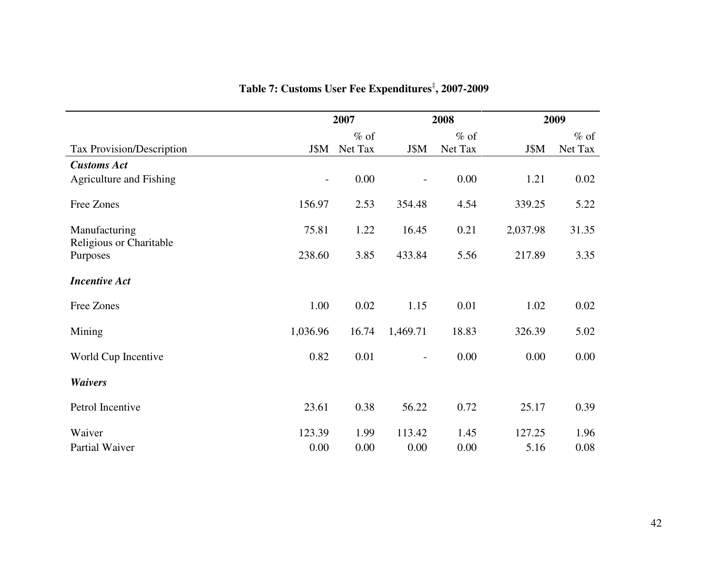|                                     | 2007                     |         |                          | 2008    | 2009     |         |  |
|-------------------------------------|--------------------------|---------|--------------------------|---------|----------|---------|--|
|                                     |                          | $%$ of  |                          | $%$ of  |          | $%$ of  |  |
| Tax Provision/Description           | J\$M                     | Net Tax | J\$M                     | Net Tax | J\$M     | Net Tax |  |
| <b>Customs Act</b>                  |                          |         |                          |         |          |         |  |
| <b>Agriculture and Fishing</b>      | $\overline{\phantom{a}}$ | 0.00    | $\overline{\phantom{a}}$ | 0.00    | 1.21     | 0.02    |  |
| Free Zones                          | 156.97                   | 2.53    | 354.48                   | 4.54    | 339.25   | 5.22    |  |
| Manufacturing                       | 75.81                    | 1.22    | 16.45                    | 0.21    | 2,037.98 | 31.35   |  |
| Religious or Charitable<br>Purposes | 238.60                   | 3.85    | 433.84                   | 5.56    | 217.89   | 3.35    |  |
| <b>Incentive Act</b>                |                          |         |                          |         |          |         |  |
| Free Zones                          | 1.00                     | 0.02    | 1.15                     | 0.01    | 1.02     | 0.02    |  |
| Mining                              | 1,036.96                 | 16.74   | 1,469.71                 | 18.83   | 326.39   | 5.02    |  |
| World Cup Incentive                 | 0.82                     | 0.01    | $\overline{\phantom{a}}$ | 0.00    | 0.00     | 0.00    |  |
| <b>Waivers</b>                      |                          |         |                          |         |          |         |  |
| Petrol Incentive                    | 23.61                    | 0.38    | 56.22                    | 0.72    | 25.17    | 0.39    |  |
| Waiver                              | 123.39                   | 1.99    | 113.42                   | 1.45    | 127.25   | 1.96    |  |
| Partial Waiver                      | 0.00                     | 0.00    | 0.00                     | 0.00    | 5.16     | 0.08    |  |

**Table 7: Customs User Fee Expenditures**‡**, 2007-2009**